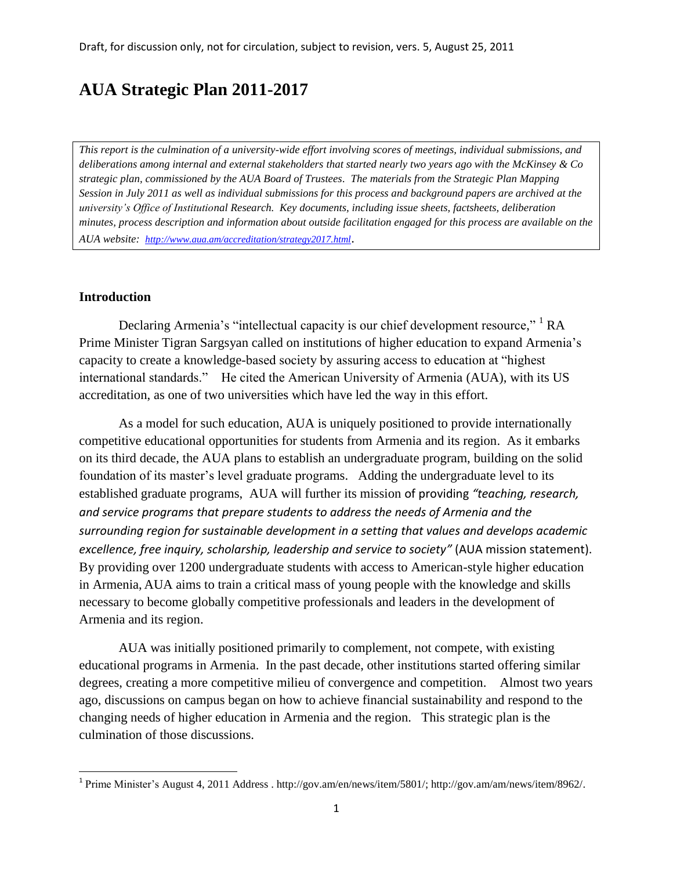# **AUA Strategic Plan 2011-2017**

*This report is the culmination of a university-wide effort involving scores of meetings, individual submissions, and deliberations among internal and external stakeholders that started nearly two years ago with the McKinsey & Co strategic plan, commissioned by the AUA Board of Trustees. The materials from the Strategic Plan Mapping Session in July 2011 as well as individual submissions for this process and background papers are archived at the university's Office of Institutional Research. Key documents, including issue sheets, factsheets, deliberation minutes, process description and information about outside facilitation engaged for this process are available on the AUA website: <http://www.aua.am/accreditation/strategy2017.html>*.

# **Introduction**

 $\overline{\phantom{a}}$ 

Declaring Armenia's "intellectual capacity is our chief development resource," <sup>1</sup> RA Prime Minister Tigran Sargsyan called on institutions of higher education to expand Armenia's capacity to create a knowledge-based society by assuring access to education at "highest international standards." He cited the American University of Armenia (AUA), with its US accreditation, as one of two universities which have led the way in this effort.

As a model for such education, AUA is uniquely positioned to provide internationally competitive educational opportunities for students from Armenia and its region. As it embarks on its third decade, the AUA plans to establish an undergraduate program, building on the solid foundation of its master's level graduate programs. Adding the undergraduate level to its established graduate programs, AUA will further its mission of providing *"teaching, research, and service programs that prepare students to address the needs of Armenia and the surrounding region for sustainable development in a setting that values and develops academic excellence, free inquiry, scholarship, leadership and service to society"* (AUA mission statement). By providing over 1200 undergraduate students with access to American-style higher education in Armenia, AUA aims to train a critical mass of young people with the knowledge and skills necessary to become globally competitive professionals and leaders in the development of Armenia and its region.

AUA was initially positioned primarily to complement, not compete, with existing educational programs in Armenia. In the past decade, other institutions started offering similar degrees, creating a more competitive milieu of convergence and competition. Almost two years ago, discussions on campus began on how to achieve financial sustainability and respond to the changing needs of higher education in Armenia and the region. This strategic plan is the culmination of those discussions.

<sup>&</sup>lt;sup>1</sup> Prime Minister's August 4, 2011 Address [. http://gov.am/en/news/item/5801/;](http://gov.am/en/news/item/5801/) [http://gov.am/am/news/item/8962/.](http://gov.am/am/news/item/8962/)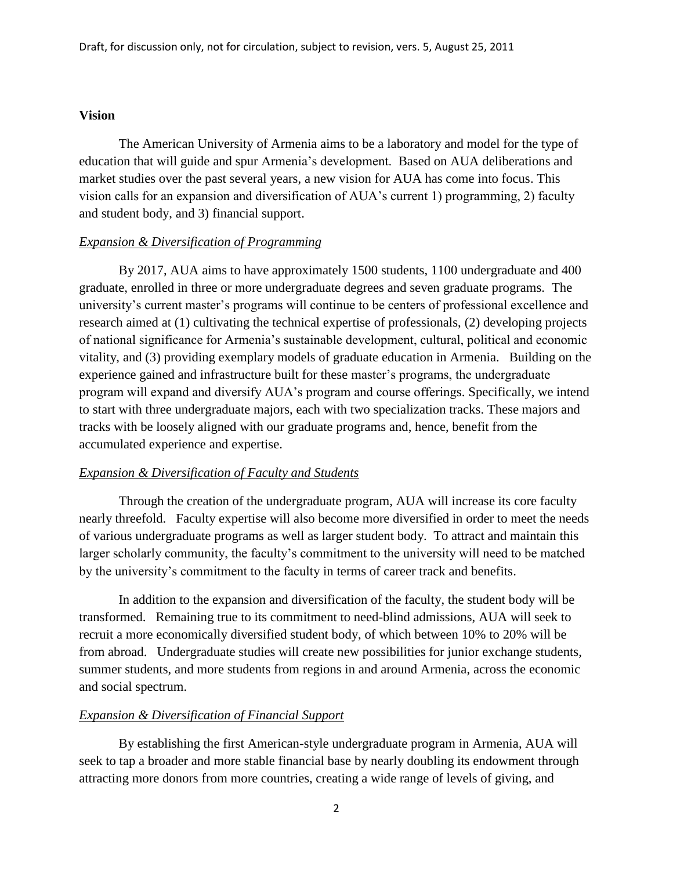## **Vision**

The American University of Armenia aims to be a laboratory and model for the type of education that will guide and spur Armenia's development. Based on AUA deliberations and market studies over the past several years, a new vision for AUA has come into focus. This vision calls for an expansion and diversification of AUA's current 1) programming, 2) faculty and student body, and 3) financial support.

#### *Expansion & Diversification of Programming*

By 2017, AUA aims to have approximately 1500 students, 1100 undergraduate and 400 graduate, enrolled in three or more undergraduate degrees and seven graduate programs. The university's current master's programs will continue to be centers of professional excellence and research aimed at (1) cultivating the technical expertise of professionals, (2) developing projects of national significance for Armenia's sustainable development, cultural, political and economic vitality, and (3) providing exemplary models of graduate education in Armenia. Building on the experience gained and infrastructure built for these master's programs, the undergraduate program will expand and diversify AUA's program and course offerings. Specifically, we intend to start with three undergraduate majors, each with two specialization tracks. These majors and tracks with be loosely aligned with our graduate programs and, hence, benefit from the accumulated experience and expertise.

#### *Expansion & Diversification of Faculty and Students*

Through the creation of the undergraduate program, AUA will increase its core faculty nearly threefold. Faculty expertise will also become more diversified in order to meet the needs of various undergraduate programs as well as larger student body. To attract and maintain this larger scholarly community, the faculty's commitment to the university will need to be matched by the university's commitment to the faculty in terms of career track and benefits.

In addition to the expansion and diversification of the faculty, the student body will be transformed. Remaining true to its commitment to need-blind admissions, AUA will seek to recruit a more economically diversified student body, of which between 10% to 20% will be from abroad. Undergraduate studies will create new possibilities for junior exchange students, summer students, and more students from regions in and around Armenia, across the economic and social spectrum.

#### *Expansion & Diversification of Financial Support*

By establishing the first American-style undergraduate program in Armenia, AUA will seek to tap a broader and more stable financial base by nearly doubling its endowment through attracting more donors from more countries, creating a wide range of levels of giving, and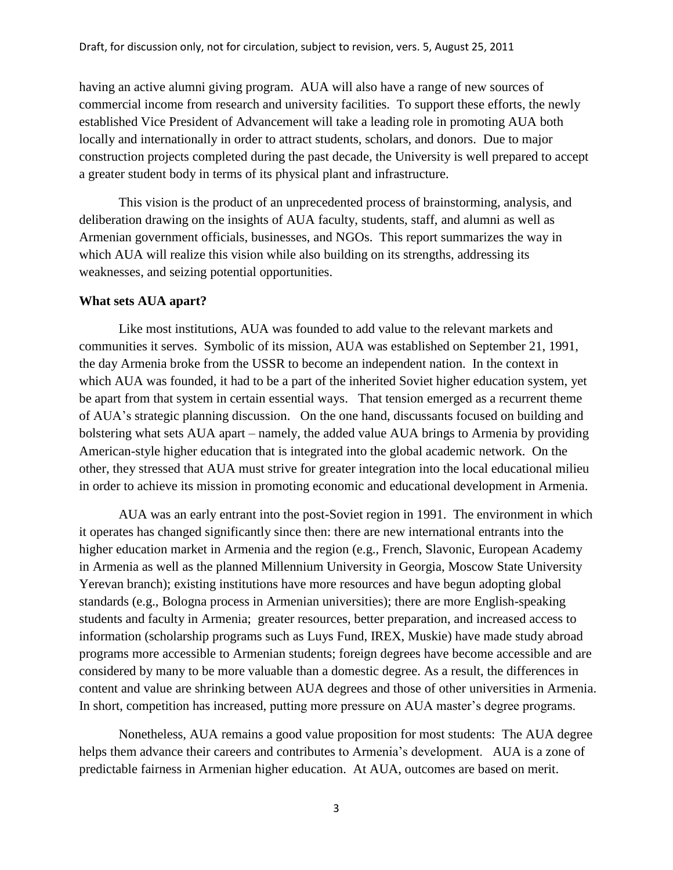having an active alumni giving program. AUA will also have a range of new sources of commercial income from research and university facilities. To support these efforts, the newly established Vice President of Advancement will take a leading role in promoting AUA both locally and internationally in order to attract students, scholars, and donors. Due to major construction projects completed during the past decade, the University is well prepared to accept a greater student body in terms of its physical plant and infrastructure.

This vision is the product of an unprecedented process of brainstorming, analysis, and deliberation drawing on the insights of AUA faculty, students, staff, and alumni as well as Armenian government officials, businesses, and NGOs. This report summarizes the way in which AUA will realize this vision while also building on its strengths, addressing its weaknesses, and seizing potential opportunities.

#### **What sets AUA apart?**

Like most institutions, AUA was founded to add value to the relevant markets and communities it serves. Symbolic of its mission, AUA was established on September 21, 1991, the day Armenia broke from the USSR to become an independent nation. In the context in which AUA was founded, it had to be a part of the inherited Soviet higher education system, yet be apart from that system in certain essential ways. That tension emerged as a recurrent theme of AUA's strategic planning discussion. On the one hand, discussants focused on building and bolstering what sets AUA apart – namely, the added value AUA brings to Armenia by providing American-style higher education that is integrated into the global academic network. On the other, they stressed that AUA must strive for greater integration into the local educational milieu in order to achieve its mission in promoting economic and educational development in Armenia.

AUA was an early entrant into the post-Soviet region in 1991. The environment in which it operates has changed significantly since then: there are new international entrants into the higher education market in Armenia and the region (e.g., French, Slavonic, European Academy in Armenia as well as the planned Millennium University in Georgia, Moscow State University Yerevan branch); existing institutions have more resources and have begun adopting global standards (e.g., Bologna process in Armenian universities); there are more English-speaking students and faculty in Armenia; greater resources, better preparation, and increased access to information (scholarship programs such as Luys Fund, IREX, Muskie) have made study abroad programs more accessible to Armenian students; foreign degrees have become accessible and are considered by many to be more valuable than a domestic degree. As a result, the differences in content and value are shrinking between AUA degrees and those of other universities in Armenia. In short, competition has increased, putting more pressure on AUA master's degree programs.

Nonetheless, AUA remains a good value proposition for most students: The AUA degree helps them advance their careers and contributes to Armenia's development. AUA is a zone of predictable fairness in Armenian higher education. At AUA, outcomes are based on merit.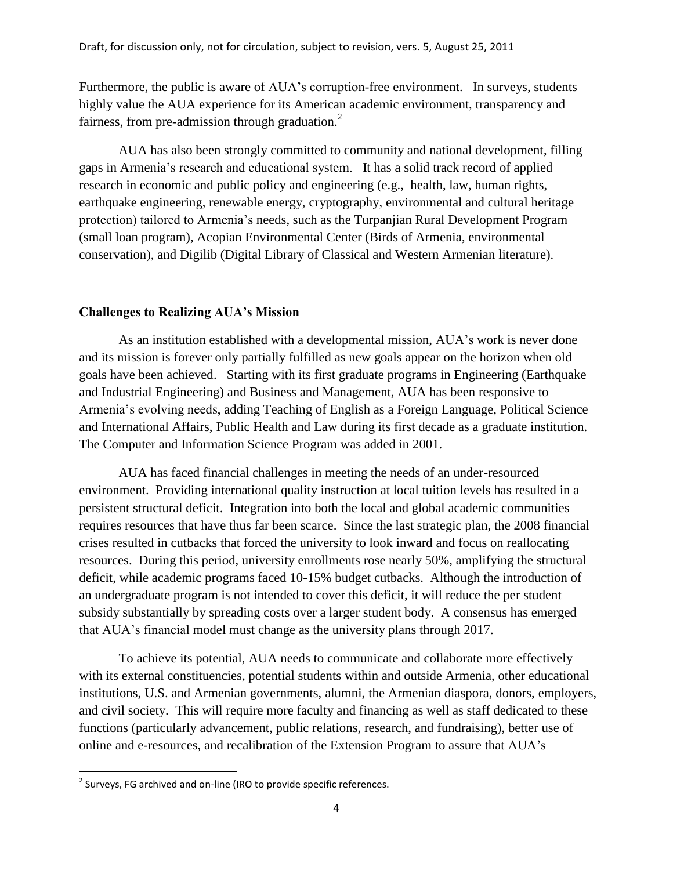Furthermore, the public is aware of AUA's corruption-free environment. In surveys, students highly value the AUA experience for its American academic environment, transparency and fairness, from pre-admission through graduation.<sup>2</sup>

AUA has also been strongly committed to community and national development, filling gaps in Armenia's research and educational system. It has a solid track record of applied research in economic and public policy and engineering (e.g., health, law, human rights, earthquake engineering, renewable energy, cryptography, environmental and cultural heritage protection) tailored to Armenia's needs, such as the Turpanjian Rural Development Program (small loan program), Acopian Environmental Center (Birds of Armenia, environmental conservation), and Digilib (Digital Library of Classical and Western Armenian literature).

#### **Challenges to Realizing AUA's Mission**

As an institution established with a developmental mission, AUA's work is never done and its mission is forever only partially fulfilled as new goals appear on the horizon when old goals have been achieved. Starting with its first graduate programs in Engineering (Earthquake and Industrial Engineering) and Business and Management, AUA has been responsive to Armenia's evolving needs, adding Teaching of English as a Foreign Language, Political Science and International Affairs, Public Health and Law during its first decade as a graduate institution. The Computer and Information Science Program was added in 2001.

AUA has faced financial challenges in meeting the needs of an under-resourced environment. Providing international quality instruction at local tuition levels has resulted in a persistent structural deficit. Integration into both the local and global academic communities requires resources that have thus far been scarce. Since the last strategic plan, the 2008 financial crises resulted in cutbacks that forced the university to look inward and focus on reallocating resources. During this period, university enrollments rose nearly 50%, amplifying the structural deficit, while academic programs faced 10-15% budget cutbacks. Although the introduction of an undergraduate program is not intended to cover this deficit, it will reduce the per student subsidy substantially by spreading costs over a larger student body. A consensus has emerged that AUA's financial model must change as the university plans through 2017.

To achieve its potential, AUA needs to communicate and collaborate more effectively with its external constituencies, potential students within and outside Armenia, other educational institutions, U.S. and Armenian governments, alumni, the Armenian diaspora, donors, employers, and civil society. This will require more faculty and financing as well as staff dedicated to these functions (particularly advancement, public relations, research, and fundraising), better use of online and e-resources, and recalibration of the Extension Program to assure that AUA's

 $\overline{\phantom{a}}$ 

 $2$  Surveys, FG archived and on-line (IRO to provide specific references.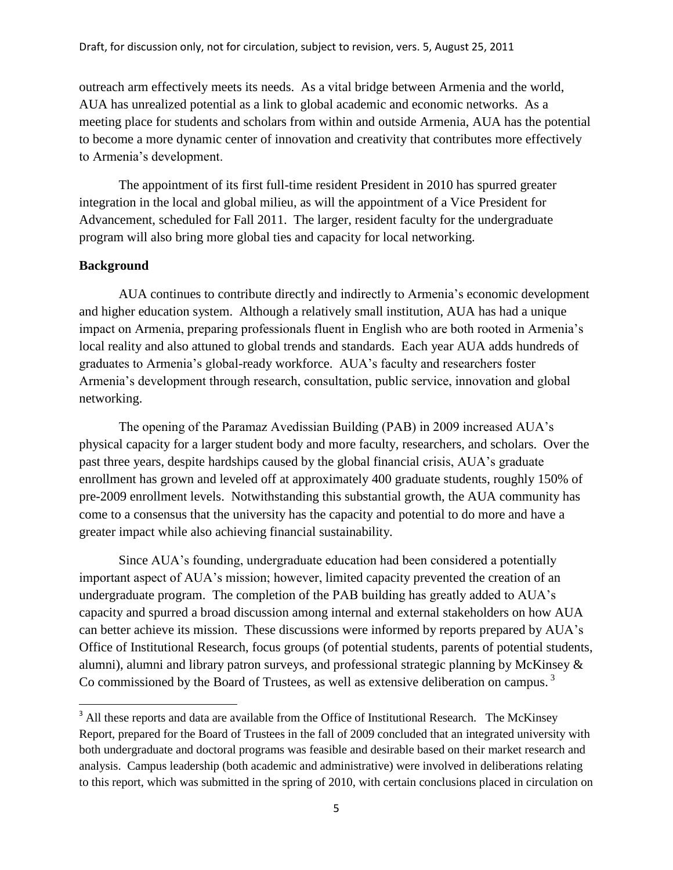outreach arm effectively meets its needs. As a vital bridge between Armenia and the world, AUA has unrealized potential as a link to global academic and economic networks. As a meeting place for students and scholars from within and outside Armenia, AUA has the potential to become a more dynamic center of innovation and creativity that contributes more effectively to Armenia's development.

The appointment of its first full-time resident President in 2010 has spurred greater integration in the local and global milieu, as will the appointment of a Vice President for Advancement, scheduled for Fall 2011. The larger, resident faculty for the undergraduate program will also bring more global ties and capacity for local networking.

## **Background**

 $\overline{\phantom{a}}$ 

AUA continues to contribute directly and indirectly to Armenia's economic development and higher education system. Although a relatively small institution, AUA has had a unique impact on Armenia, preparing professionals fluent in English who are both rooted in Armenia's local reality and also attuned to global trends and standards. Each year AUA adds hundreds of graduates to Armenia's global-ready workforce. AUA's faculty and researchers foster Armenia's development through research, consultation, public service, innovation and global networking.

The opening of the Paramaz Avedissian Building (PAB) in 2009 increased AUA's physical capacity for a larger student body and more faculty, researchers, and scholars. Over the past three years, despite hardships caused by the global financial crisis, AUA's graduate enrollment has grown and leveled off at approximately 400 graduate students, roughly 150% of pre-2009 enrollment levels. Notwithstanding this substantial growth, the AUA community has come to a consensus that the university has the capacity and potential to do more and have a greater impact while also achieving financial sustainability.

Since AUA's founding, undergraduate education had been considered a potentially important aspect of AUA's mission; however, limited capacity prevented the creation of an undergraduate program. The completion of the PAB building has greatly added to AUA's capacity and spurred a broad discussion among internal and external stakeholders on how AUA can better achieve its mission. These discussions were informed by reports prepared by AUA's Office of Institutional Research, focus groups (of potential students, parents of potential students, alumni), alumni and library patron surveys, and professional strategic planning by McKinsey & Co commissioned by the Board of Trustees, as well as extensive deliberation on campus.<sup>3</sup>

<sup>&</sup>lt;sup>3</sup> All these reports and data are available from the Office of Institutional Research. The McKinsey Report, prepared for the Board of Trustees in the fall of 2009 concluded that an integrated university with both undergraduate and doctoral programs was feasible and desirable based on their market research and analysis. Campus leadership (both academic and administrative) were involved in deliberations relating to this report, which was submitted in the spring of 2010, with certain conclusions placed in circulation on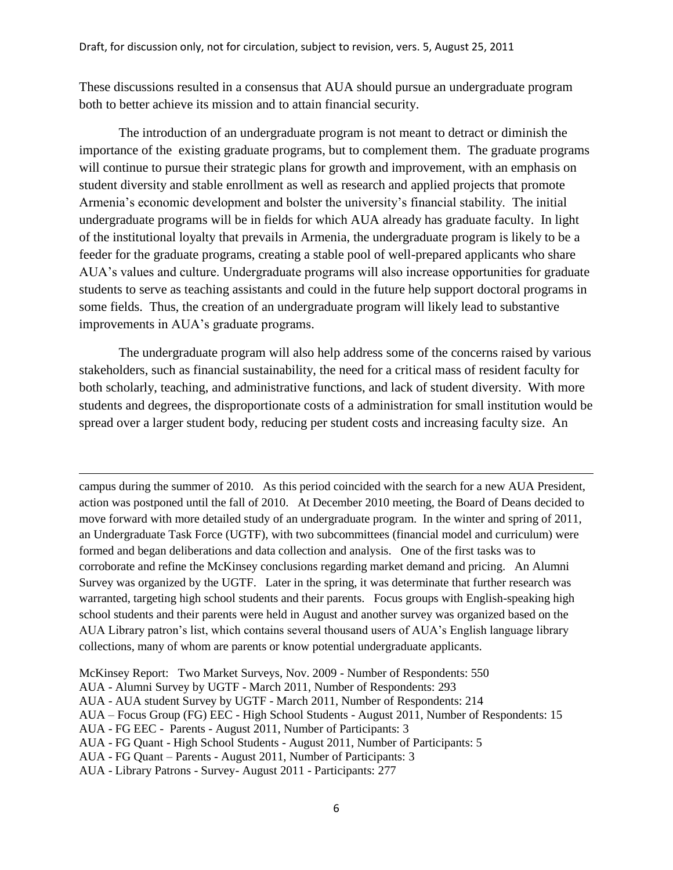These discussions resulted in a consensus that AUA should pursue an undergraduate program both to better achieve its mission and to attain financial security.

The introduction of an undergraduate program is not meant to detract or diminish the importance of the existing graduate programs, but to complement them. The graduate programs will continue to pursue their strategic plans for growth and improvement, with an emphasis on student diversity and stable enrollment as well as research and applied projects that promote Armenia's economic development and bolster the university's financial stability. The initial undergraduate programs will be in fields for which AUA already has graduate faculty. In light of the institutional loyalty that prevails in Armenia, the undergraduate program is likely to be a feeder for the graduate programs, creating a stable pool of well-prepared applicants who share AUA's values and culture. Undergraduate programs will also increase opportunities for graduate students to serve as teaching assistants and could in the future help support doctoral programs in some fields. Thus, the creation of an undergraduate program will likely lead to substantive improvements in AUA's graduate programs.

The undergraduate program will also help address some of the concerns raised by various stakeholders, such as financial sustainability, the need for a critical mass of resident faculty for both scholarly, teaching, and administrative functions, and lack of student diversity. With more students and degrees, the disproportionate costs of a administration for small institution would be spread over a larger student body, reducing per student costs and increasing faculty size. An

campus during the summer of 2010. As this period coincided with the search for a new AUA President, action was postponed until the fall of 2010. At December 2010 meeting, the Board of Deans decided to move forward with more detailed study of an undergraduate program. In the winter and spring of 2011, an Undergraduate Task Force (UGTF), with two subcommittees (financial model and curriculum) were formed and began deliberations and data collection and analysis. One of the first tasks was to corroborate and refine the McKinsey conclusions regarding market demand and pricing. An Alumni Survey was organized by the UGTF. Later in the spring, it was determinate that further research was warranted, targeting high school students and their parents. Focus groups with English-speaking high school students and their parents were held in August and another survey was organized based on the AUA Library patron's list, which contains several thousand users of AUA's English language library collections, many of whom are parents or know potential undergraduate applicants.

l

McKinsey Report: Two Market Surveys, Nov. 2009 - Number of Respondents: 550

AUA - Alumni Survey by UGTF - March 2011, Number of Respondents: 293

AUA - AUA student Survey by UGTF - March 2011, Number of Respondents: 214

AUA – Focus Group (FG) EEC - High School Students - August 2011, Number of Respondents: 15

AUA - FG EEC - Parents - August 2011, Number of Participants: 3

AUA - FG Quant - High School Students - August 2011, Number of Participants: 5

AUA - FG Quant – Parents - August 2011, Number of Participants: 3

AUA - Library Patrons - Survey- August 2011 - Participants: 277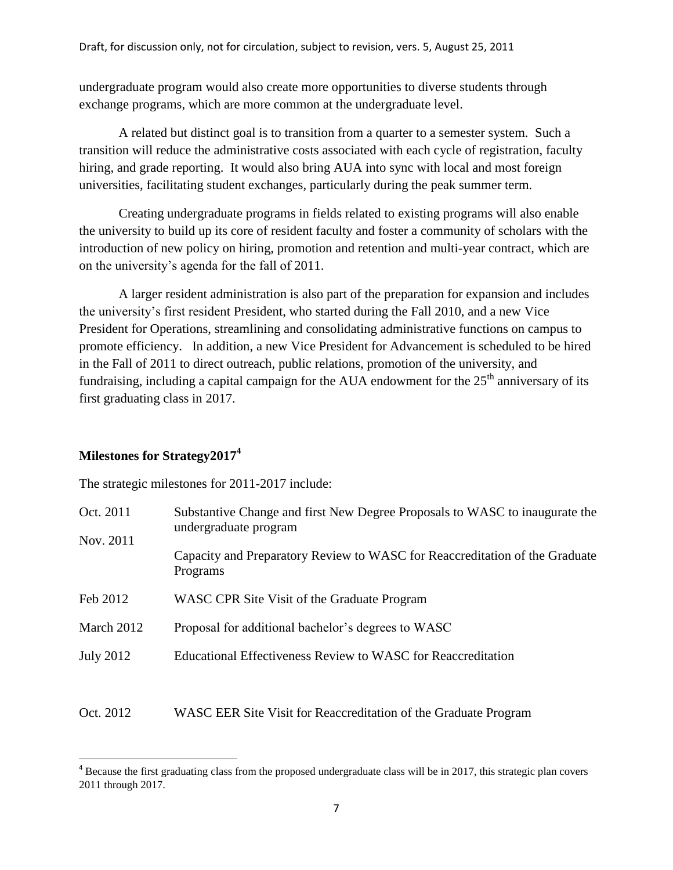undergraduate program would also create more opportunities to diverse students through exchange programs, which are more common at the undergraduate level.

A related but distinct goal is to transition from a quarter to a semester system. Such a transition will reduce the administrative costs associated with each cycle of registration, faculty hiring, and grade reporting. It would also bring AUA into sync with local and most foreign universities, facilitating student exchanges, particularly during the peak summer term.

Creating undergraduate programs in fields related to existing programs will also enable the university to build up its core of resident faculty and foster a community of scholars with the introduction of new policy on hiring, promotion and retention and multi-year contract, which are on the university's agenda for the fall of 2011.

A larger resident administration is also part of the preparation for expansion and includes the university's first resident President, who started during the Fall 2010, and a new Vice President for Operations, streamlining and consolidating administrative functions on campus to promote efficiency. In addition, a new Vice President for Advancement is scheduled to be hired in the Fall of 2011 to direct outreach, public relations, promotion of the university, and fundraising, including a capital campaign for the AUA endowment for the  $25<sup>th</sup>$  anniversary of its first graduating class in 2017.

# **Milestones for Strategy2017<sup>4</sup>**

l

The strategic milestones for 2011-2017 include:

| Oct. 2011                   | Substantive Change and first New Degree Proposals to WASC to inaugurate the<br>undergraduate program |  |  |  |  |  |  |  |
|-----------------------------|------------------------------------------------------------------------------------------------------|--|--|--|--|--|--|--|
| Nov. 2011                   | Capacity and Preparatory Review to WASC for Reaccreditation of the Graduate<br>Programs              |  |  |  |  |  |  |  |
| Feb 2012                    | WASC CPR Site Visit of the Graduate Program                                                          |  |  |  |  |  |  |  |
| March 2012                  | Proposal for additional bachelor's degrees to WASC                                                   |  |  |  |  |  |  |  |
| <b>July 2012</b>            | Educational Effectiveness Review to WASC for Reaccreditation                                         |  |  |  |  |  |  |  |
|                             |                                                                                                      |  |  |  |  |  |  |  |
| $\sim$ $\sim$ $\sim$ $\sim$ |                                                                                                      |  |  |  |  |  |  |  |

# Oct. 2012 WASC EER Site Visit for Reaccreditation of the Graduate Program

 $4$  Because the first graduating class from the proposed undergraduate class will be in 2017, this strategic plan covers 2011 through 2017.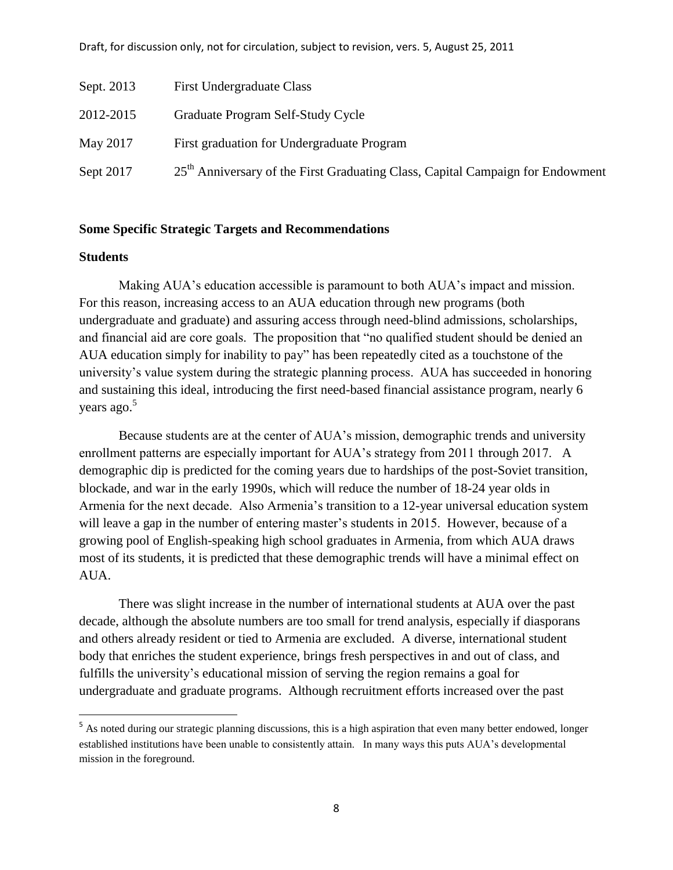| Sept. 2013 | <b>First Undergraduate Class</b>                                                           |
|------------|--------------------------------------------------------------------------------------------|
| 2012-2015  | Graduate Program Self-Study Cycle                                                          |
| May 2017   | First graduation for Undergraduate Program                                                 |
| Sept 2017  | 25 <sup>th</sup> Anniversary of the First Graduating Class, Capital Campaign for Endowment |

## **Some Specific Strategic Targets and Recommendations**

#### **Students**

 $\overline{a}$ 

Making AUA's education accessible is paramount to both AUA's impact and mission. For this reason, increasing access to an AUA education through new programs (both undergraduate and graduate) and assuring access through need-blind admissions, scholarships, and financial aid are core goals. The proposition that "no qualified student should be denied an AUA education simply for inability to pay" has been repeatedly cited as a touchstone of the university's value system during the strategic planning process. AUA has succeeded in honoring and sustaining this ideal, introducing the first need-based financial assistance program, nearly 6 years ago.<sup>5</sup>

Because students are at the center of AUA's mission, demographic trends and university enrollment patterns are especially important for AUA's strategy from 2011 through 2017. A demographic dip is predicted for the coming years due to hardships of the post-Soviet transition, blockade, and war in the early 1990s, which will reduce the number of 18-24 year olds in Armenia for the next decade. Also Armenia's transition to a 12-year universal education system will leave a gap in the number of entering master's students in 2015. However, because of a growing pool of English-speaking high school graduates in Armenia, from which AUA draws most of its students, it is predicted that these demographic trends will have a minimal effect on AUA.

There was slight increase in the number of international students at AUA over the past decade, although the absolute numbers are too small for trend analysis, especially if diasporans and others already resident or tied to Armenia are excluded. A diverse, international student body that enriches the student experience, brings fresh perspectives in and out of class, and fulfills the university's educational mission of serving the region remains a goal for undergraduate and graduate programs. Although recruitment efforts increased over the past

<sup>&</sup>lt;sup>5</sup> As noted during our strategic planning discussions, this is a high aspiration that even many better endowed, longer established institutions have been unable to consistently attain. In many ways this puts AUA's developmental mission in the foreground.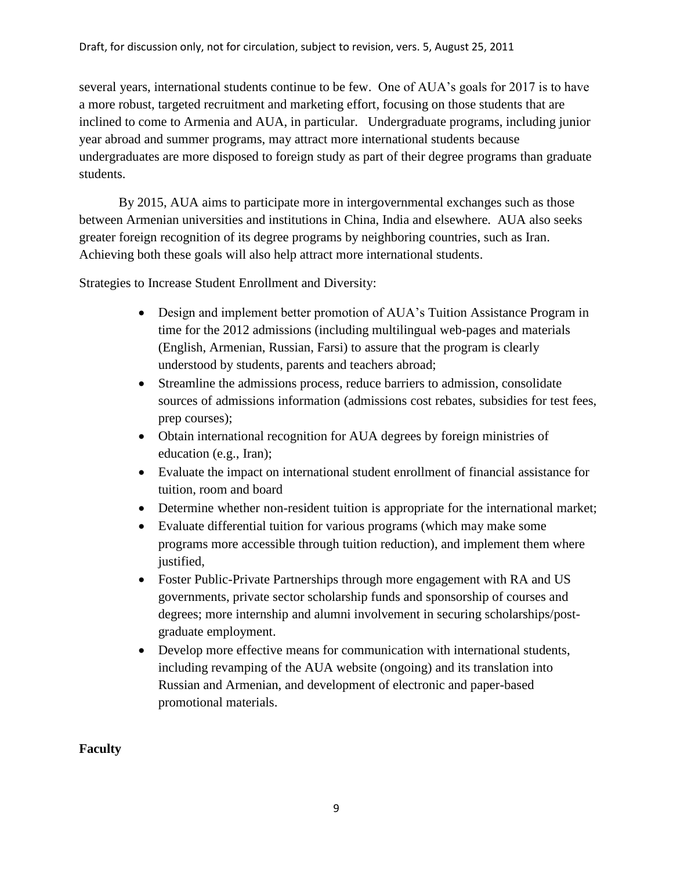several years, international students continue to be few. One of AUA's goals for 2017 is to have a more robust, targeted recruitment and marketing effort, focusing on those students that are inclined to come to Armenia and AUA, in particular. Undergraduate programs, including junior year abroad and summer programs, may attract more international students because undergraduates are more disposed to foreign study as part of their degree programs than graduate students.

By 2015, AUA aims to participate more in intergovernmental exchanges such as those between Armenian universities and institutions in China, India and elsewhere. AUA also seeks greater foreign recognition of its degree programs by neighboring countries, such as Iran. Achieving both these goals will also help attract more international students.

Strategies to Increase Student Enrollment and Diversity:

- Design and implement better promotion of AUA's Tuition Assistance Program in time for the 2012 admissions (including multilingual web-pages and materials (English, Armenian, Russian, Farsi) to assure that the program is clearly understood by students, parents and teachers abroad;
- Streamline the admissions process, reduce barriers to admission, consolidate sources of admissions information (admissions cost rebates, subsidies for test fees, prep courses);
- Obtain international recognition for AUA degrees by foreign ministries of education (e.g., Iran);
- Evaluate the impact on international student enrollment of financial assistance for tuition, room and board
- Determine whether non-resident tuition is appropriate for the international market;
- Evaluate differential tuition for various programs (which may make some programs more accessible through tuition reduction), and implement them where justified,
- Foster Public-Private Partnerships through more engagement with RA and US governments, private sector scholarship funds and sponsorship of courses and degrees; more internship and alumni involvement in securing scholarships/postgraduate employment.
- Develop more effective means for communication with international students, including revamping of the AUA website (ongoing) and its translation into Russian and Armenian, and development of electronic and paper-based promotional materials.

# **Faculty**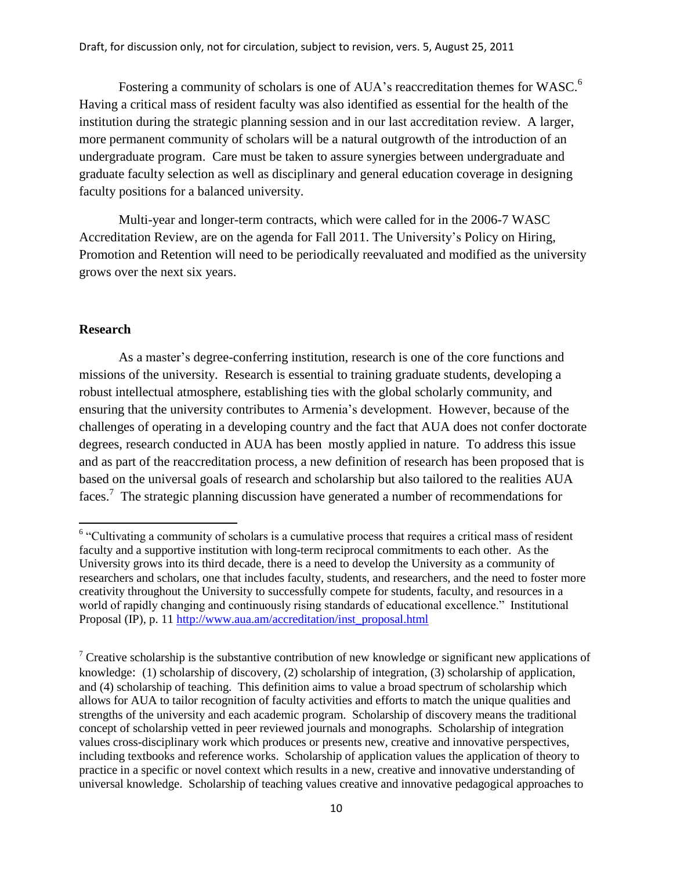Fostering a community of scholars is one of AUA's reaccreditation themes for WASC.<sup>6</sup> Having a critical mass of resident faculty was also identified as essential for the health of the institution during the strategic planning session and in our last accreditation review. A larger, more permanent community of scholars will be a natural outgrowth of the introduction of an undergraduate program. Care must be taken to assure synergies between undergraduate and graduate faculty selection as well as disciplinary and general education coverage in designing faculty positions for a balanced university.

Multi-year and longer-term contracts, which were called for in the 2006-7 WASC Accreditation Review, are on the agenda for Fall 2011. The University's Policy on Hiring, Promotion and Retention will need to be periodically reevaluated and modified as the university grows over the next six years.

#### **Research**

 $\overline{\phantom{a}}$ 

As a master's degree-conferring institution, research is one of the core functions and missions of the university. Research is essential to training graduate students, developing a robust intellectual atmosphere, establishing ties with the global scholarly community, and ensuring that the university contributes to Armenia's development. However, because of the challenges of operating in a developing country and the fact that AUA does not confer doctorate degrees, research conducted in AUA has been mostly applied in nature. To address this issue and as part of the reaccreditation process, a new definition of research has been proposed that is based on the universal goals of research and scholarship but also tailored to the realities AUA faces.<sup>7</sup> The strategic planning discussion have generated a number of recommendations for

<sup>&</sup>lt;sup>6</sup> "Cultivating a community of scholars is a cumulative process that requires a critical mass of resident faculty and a supportive institution with long-term reciprocal commitments to each other. As the University grows into its third decade, there is a need to develop the University as a community of researchers and scholars, one that includes faculty, students, and researchers, and the need to foster more creativity throughout the University to successfully compete for students, faculty, and resources in a world of rapidly changing and continuously rising standards of educational excellence." Institutional Proposal (IP), p. 11 [http://www.aua.am/accreditation/inst\\_proposal.html](http://www.aua.am/accreditation/inst_proposal.html)

 $7$  Creative scholarship is the substantive contribution of new knowledge or significant new applications of knowledge: (1) scholarship of discovery, (2) scholarship of integration, (3) scholarship of application, and (4) scholarship of teaching. This definition aims to value a broad spectrum of scholarship which allows for AUA to tailor recognition of faculty activities and efforts to match the unique qualities and strengths of the university and each academic program. Scholarship of discovery means the traditional concept of scholarship vetted in peer reviewed journals and monographs. Scholarship of integration values cross-disciplinary work which produces or presents new, creative and innovative perspectives, including textbooks and reference works. Scholarship of application values the application of theory to practice in a specific or novel context which results in a new, creative and innovative understanding of universal knowledge. Scholarship of teaching values creative and innovative pedagogical approaches to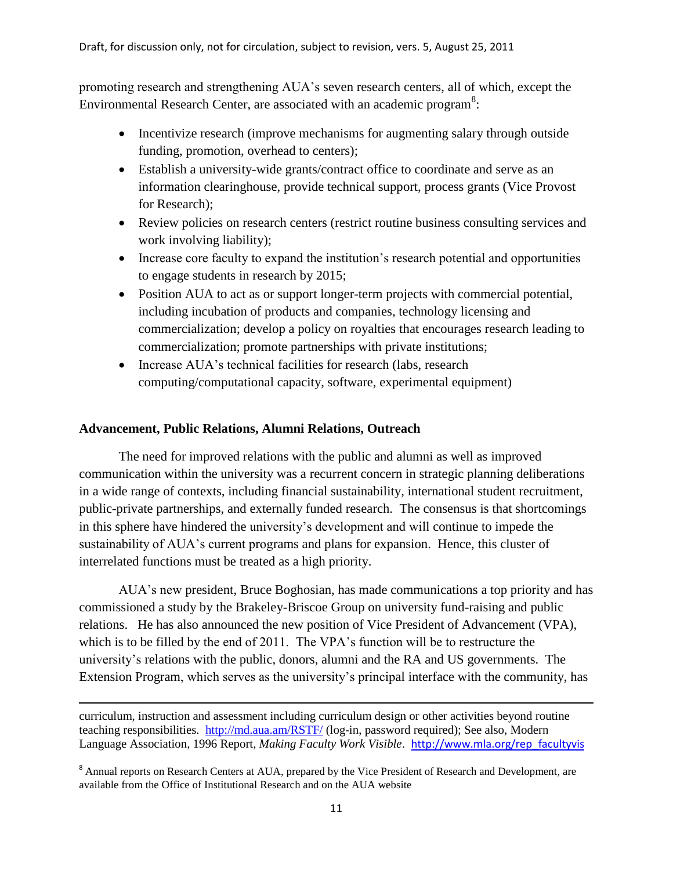promoting research and strengthening AUA's seven research centers, all of which, except the Environmental Research Center, are associated with an academic program<sup>8</sup>:

- Incentivize research (improve mechanisms for augmenting salary through outside funding, promotion, overhead to centers);
- Establish a university-wide grants/contract office to coordinate and serve as an information clearinghouse, provide technical support, process grants (Vice Provost for Research);
- Review policies on research centers (restrict routine business consulting services and work involving liability);
- Increase core faculty to expand the institution's research potential and opportunities to engage students in research by 2015;
- Position AUA to act as or support longer-term projects with commercial potential, including incubation of products and companies, technology licensing and commercialization; develop a policy on royalties that encourages research leading to commercialization; promote partnerships with private institutions;
- Increase AUA's technical facilities for research (labs, research computing/computational capacity, software, experimental equipment)

## **Advancement, Public Relations, Alumni Relations, Outreach**

l

The need for improved relations with the public and alumni as well as improved communication within the university was a recurrent concern in strategic planning deliberations in a wide range of contexts, including financial sustainability, international student recruitment, public-private partnerships, and externally funded research. The consensus is that shortcomings in this sphere have hindered the university's development and will continue to impede the sustainability of AUA's current programs and plans for expansion. Hence, this cluster of interrelated functions must be treated as a high priority.

AUA's new president, Bruce Boghosian, has made communications a top priority and has commissioned a study by the Brakeley-Briscoe Group on university fund-raising and public relations. He has also announced the new position of Vice President of Advancement (VPA), which is to be filled by the end of 2011. The VPA's function will be to restructure the university's relations with the public, donors, alumni and the RA and US governments. The Extension Program, which serves as the university's principal interface with the community, has

curriculum, instruction and assessment including curriculum design or other activities beyond routine teaching responsibilities. <http://md.aua.am/RSTF/> (log-in, password required); See also, Modern Language Association, 1996 Report, *Making Faculty Work Visible*. [http://www.mla.org/rep\\_facultyvis](http://www.mla.org/rep_facultyvis)

<sup>&</sup>lt;sup>8</sup> Annual reports on Research Centers at AUA, prepared by the Vice President of Research and Development, are available from the Office of Institutional Research and on the AUA website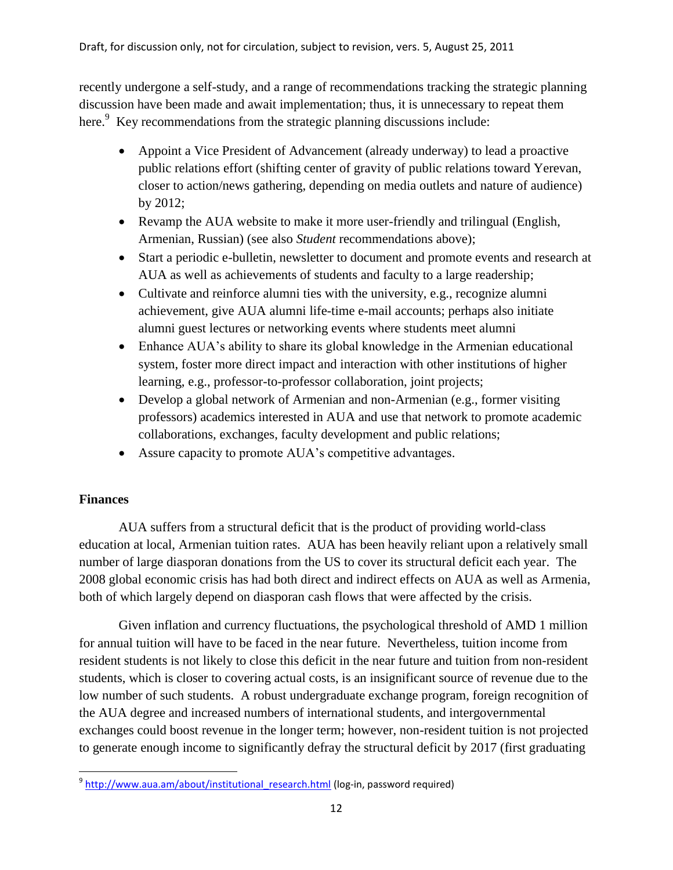recently undergone a self-study, and a range of recommendations tracking the strategic planning discussion have been made and await implementation; thus, it is unnecessary to repeat them here.<sup>9</sup> Key recommendations from the strategic planning discussions include:

- Appoint a Vice President of Advancement (already underway) to lead a proactive public relations effort (shifting center of gravity of public relations toward Yerevan, closer to action/news gathering, depending on media outlets and nature of audience) by 2012;
- Revamp the AUA website to make it more user-friendly and trilingual (English, Armenian, Russian) (see also *Student* recommendations above);
- Start a periodic e-bulletin, newsletter to document and promote events and research at AUA as well as achievements of students and faculty to a large readership;
- Cultivate and reinforce alumni ties with the university, e.g., recognize alumni achievement, give AUA alumni life-time e-mail accounts; perhaps also initiate alumni guest lectures or networking events where students meet alumni
- Enhance AUA's ability to share its global knowledge in the Armenian educational system, foster more direct impact and interaction with other institutions of higher learning, e.g., professor-to-professor collaboration, joint projects;
- Develop a global network of Armenian and non-Armenian (e.g., former visiting professors) academics interested in AUA and use that network to promote academic collaborations, exchanges, faculty development and public relations;
- Assure capacity to promote AUA's competitive advantages.

# **Finances**

AUA suffers from a structural deficit that is the product of providing world-class education at local, Armenian tuition rates. AUA has been heavily reliant upon a relatively small number of large diasporan donations from the US to cover its structural deficit each year. The 2008 global economic crisis has had both direct and indirect effects on AUA as well as Armenia, both of which largely depend on diasporan cash flows that were affected by the crisis.

Given inflation and currency fluctuations, the psychological threshold of AMD 1 million for annual tuition will have to be faced in the near future. Nevertheless, tuition income from resident students is not likely to close this deficit in the near future and tuition from non-resident students, which is closer to covering actual costs, is an insignificant source of revenue due to the low number of such students. A robust undergraduate exchange program, foreign recognition of the AUA degree and increased numbers of international students, and intergovernmental exchanges could boost revenue in the longer term; however, non-resident tuition is not projected to generate enough income to significantly defray the structural deficit by 2017 (first graduating

 $\overline{\phantom{a}}$ <sup>9</sup> http://www.aua.am/about/institutional research.html (log-in, password required)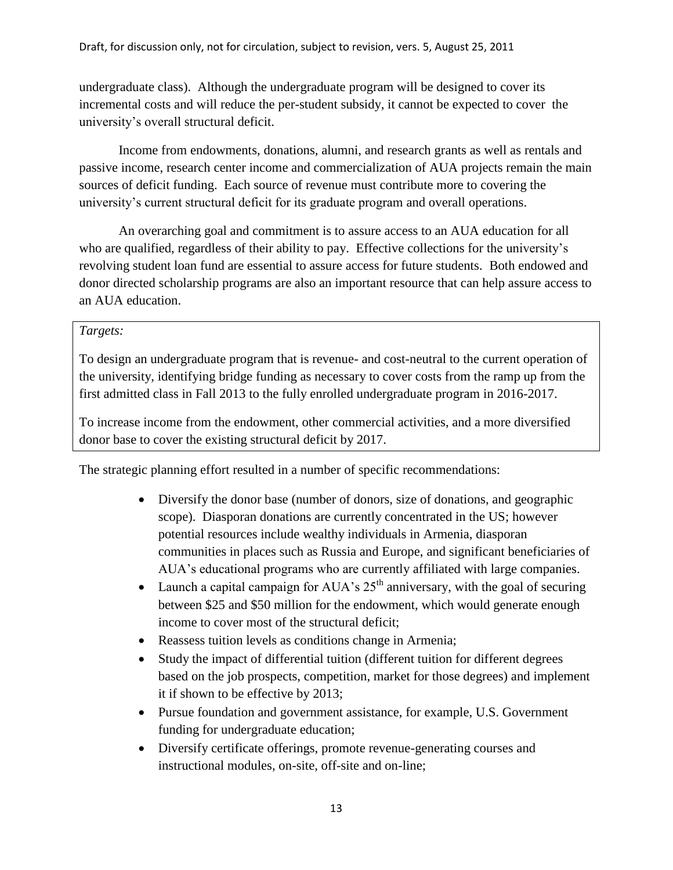undergraduate class). Although the undergraduate program will be designed to cover its incremental costs and will reduce the per-student subsidy, it cannot be expected to cover the university's overall structural deficit.

Income from endowments, donations, alumni, and research grants as well as rentals and passive income, research center income and commercialization of AUA projects remain the main sources of deficit funding. Each source of revenue must contribute more to covering the university's current structural deficit for its graduate program and overall operations.

An overarching goal and commitment is to assure access to an AUA education for all who are qualified, regardless of their ability to pay. Effective collections for the university's revolving student loan fund are essential to assure access for future students. Both endowed and donor directed scholarship programs are also an important resource that can help assure access to an AUA education.

# *Targets:*

To design an undergraduate program that is revenue- and cost-neutral to the current operation of the university, identifying bridge funding as necessary to cover costs from the ramp up from the first admitted class in Fall 2013 to the fully enrolled undergraduate program in 2016-2017.

To increase income from the endowment, other commercial activities, and a more diversified donor base to cover the existing structural deficit by 2017.

The strategic planning effort resulted in a number of specific recommendations:

- Diversify the donor base (number of donors, size of donations, and geographic scope). Diasporan donations are currently concentrated in the US; however potential resources include wealthy individuals in Armenia, diasporan communities in places such as Russia and Europe, and significant beneficiaries of AUA's educational programs who are currently affiliated with large companies.
- Launch a capital campaign for AUA's  $25<sup>th</sup>$  anniversary, with the goal of securing between \$25 and \$50 million for the endowment, which would generate enough income to cover most of the structural deficit;
- Reassess tuition levels as conditions change in Armenia;
- Study the impact of differential tuition (different tuition for different degrees based on the job prospects, competition, market for those degrees) and implement it if shown to be effective by 2013;
- Pursue foundation and government assistance, for example, U.S. Government funding for undergraduate education;
- Diversify certificate offerings, promote revenue-generating courses and instructional modules, on-site, off-site and on-line;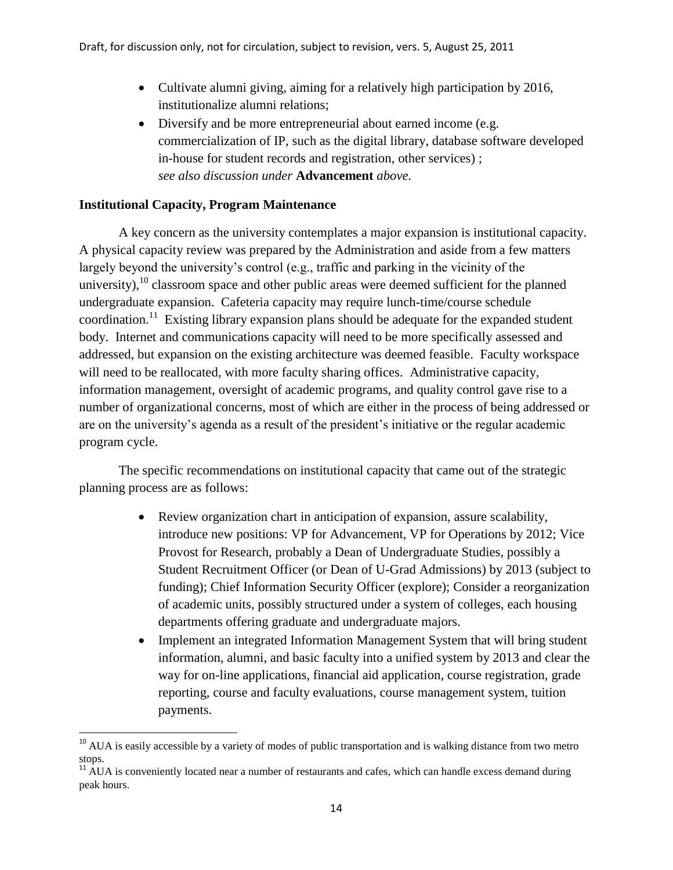- Cultivate alumni giving, aiming for a relatively high participation by 2016, institutionalize alumni relations;
- Diversify and be more entrepreneurial about earned income (e.g. commercialization of IP, such as the digital library, database software developed in-house for student records and registration, other services) ; *see also discussion under* **Advancement** *above.*

# **Institutional Capacity, Program Maintenance**

 $\overline{\phantom{a}}$ 

A key concern as the university contemplates a major expansion is institutional capacity. A physical capacity review was prepared by the Administration and aside from a few matters largely beyond the university's control (e.g., traffic and parking in the vicinity of the university),  $^{10}$  classroom space and other public areas were deemed sufficient for the planned undergraduate expansion. Cafeteria capacity may require lunch-time/course schedule coordination.<sup>11</sup> Existing library expansion plans should be adequate for the expanded student body. Internet and communications capacity will need to be more specifically assessed and addressed, but expansion on the existing architecture was deemed feasible. Faculty workspace will need to be reallocated, with more faculty sharing offices. Administrative capacity, information management, oversight of academic programs, and quality control gave rise to a number of organizational concerns, most of which are either in the process of being addressed or are on the university's agenda as a result of the president's initiative or the regular academic program cycle.

The specific recommendations on institutional capacity that came out of the strategic planning process are as follows:

- Review organization chart in anticipation of expansion, assure scalability, introduce new positions: VP for Advancement, VP for Operations by 2012; Vice Provost for Research, probably a Dean of Undergraduate Studies, possibly a Student Recruitment Officer (or Dean of U-Grad Admissions) by 2013 (subject to funding); Chief Information Security Officer (explore); Consider a reorganization of academic units, possibly structured under a system of colleges, each housing departments offering graduate and undergraduate majors.
- Implement an integrated Information Management System that will bring student information, alumni, and basic faculty into a unified system by 2013 and clear the way for on-line applications, financial aid application, course registration, grade reporting, course and faculty evaluations, course management system, tuition payments.

<sup>&</sup>lt;sup>10</sup> AUA is easily accessible by a variety of modes of public transportation and is walking distance from two metro stops.

 $11$  AUA is conveniently located near a number of restaurants and cafes, which can handle excess demand during peak hours.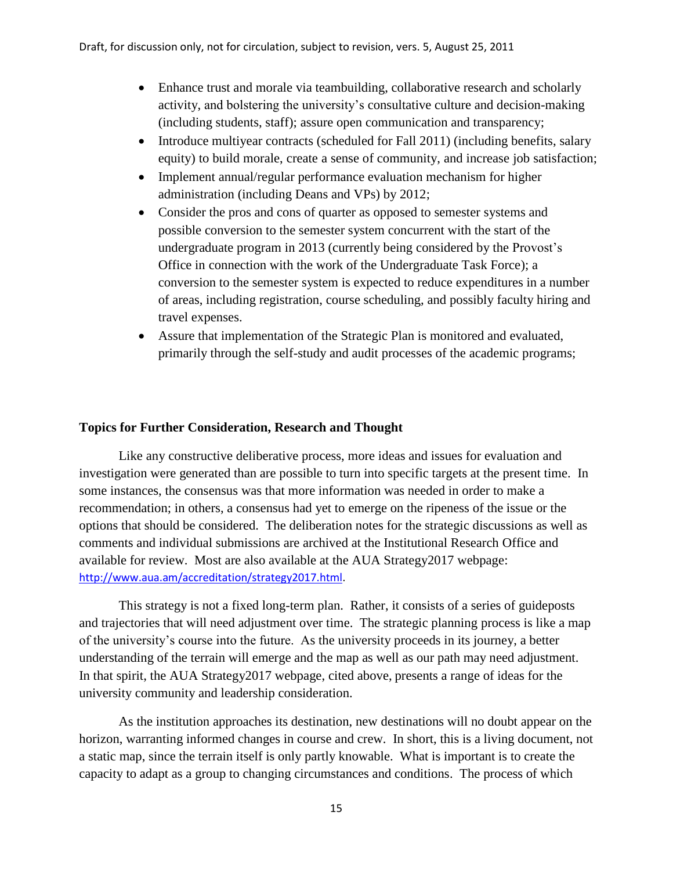- Enhance trust and morale via teambuilding, collaborative research and scholarly activity, and bolstering the university's consultative culture and decision-making (including students, staff); assure open communication and transparency;
- Introduce multiyear contracts (scheduled for Fall 2011) (including benefits, salary equity) to build morale, create a sense of community, and increase job satisfaction;
- Implement annual/regular performance evaluation mechanism for higher administration (including Deans and VPs) by 2012;
- Consider the pros and cons of quarter as opposed to semester systems and possible conversion to the semester system concurrent with the start of the undergraduate program in 2013 (currently being considered by the Provost's Office in connection with the work of the Undergraduate Task Force); a conversion to the semester system is expected to reduce expenditures in a number of areas, including registration, course scheduling, and possibly faculty hiring and travel expenses.
- Assure that implementation of the Strategic Plan is monitored and evaluated, primarily through the self-study and audit processes of the academic programs;

## **Topics for Further Consideration, Research and Thought**

Like any constructive deliberative process, more ideas and issues for evaluation and investigation were generated than are possible to turn into specific targets at the present time. In some instances, the consensus was that more information was needed in order to make a recommendation; in others, a consensus had yet to emerge on the ripeness of the issue or the options that should be considered. The deliberation notes for the strategic discussions as well as comments and individual submissions are archived at the Institutional Research Office and available for review. Most are also available at the AUA Strategy2017 webpage: [http://www.aua.am/accreditation/strategy2017.html.](http://www.aua.am/accreditation/strategy2017.html)

This strategy is not a fixed long-term plan. Rather, it consists of a series of guideposts and trajectories that will need adjustment over time. The strategic planning process is like a map of the university's course into the future. As the university proceeds in its journey, a better understanding of the terrain will emerge and the map as well as our path may need adjustment. In that spirit, the AUA Strategy2017 webpage, cited above, presents a range of ideas for the university community and leadership consideration.

As the institution approaches its destination, new destinations will no doubt appear on the horizon, warranting informed changes in course and crew. In short, this is a living document, not a static map, since the terrain itself is only partly knowable. What is important is to create the capacity to adapt as a group to changing circumstances and conditions. The process of which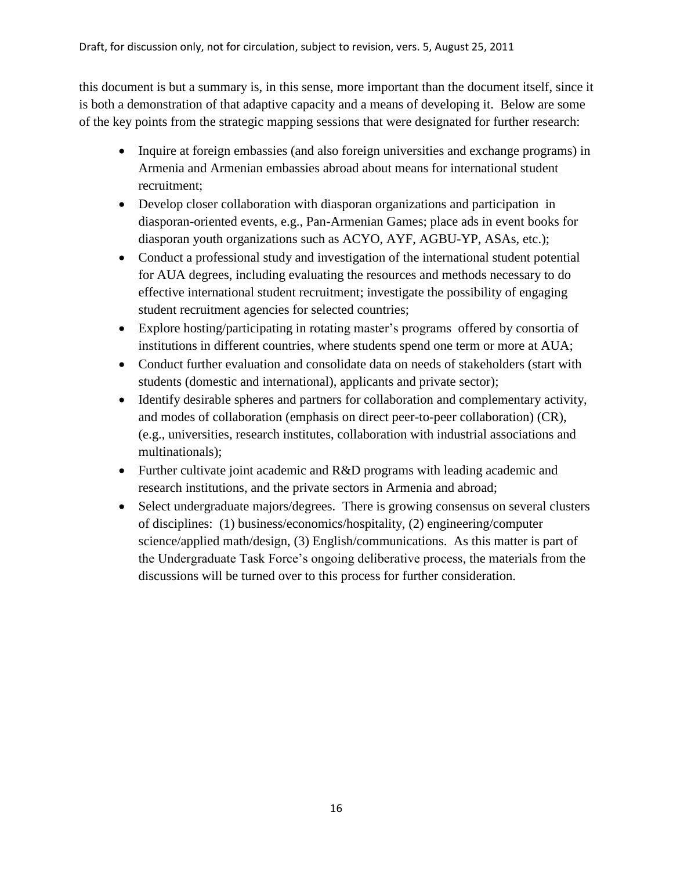this document is but a summary is, in this sense, more important than the document itself, since it is both a demonstration of that adaptive capacity and a means of developing it. Below are some of the key points from the strategic mapping sessions that were designated for further research:

- Inquire at foreign embassies (and also foreign universities and exchange programs) in Armenia and Armenian embassies abroad about means for international student recruitment;
- Develop closer collaboration with diasporan organizations and participation in diasporan-oriented events, e.g., Pan-Armenian Games; place ads in event books for diasporan youth organizations such as ACYO, AYF, AGBU-YP, ASAs, etc.);
- Conduct a professional study and investigation of the international student potential for AUA degrees, including evaluating the resources and methods necessary to do effective international student recruitment; investigate the possibility of engaging student recruitment agencies for selected countries;
- Explore hosting/participating in rotating master's programs offered by consortia of institutions in different countries, where students spend one term or more at AUA;
- Conduct further evaluation and consolidate data on needs of stakeholders (start with students (domestic and international), applicants and private sector);
- Identify desirable spheres and partners for collaboration and complementary activity, and modes of collaboration (emphasis on direct peer-to-peer collaboration) (CR), (e.g., universities, research institutes, collaboration with industrial associations and multinationals);
- Further cultivate joint academic and R&D programs with leading academic and research institutions, and the private sectors in Armenia and abroad;
- Select undergraduate majors/degrees. There is growing consensus on several clusters of disciplines: (1) business/economics/hospitality, (2) engineering/computer science/applied math/design, (3) English/communications. As this matter is part of the Undergraduate Task Force's ongoing deliberative process, the materials from the discussions will be turned over to this process for further consideration.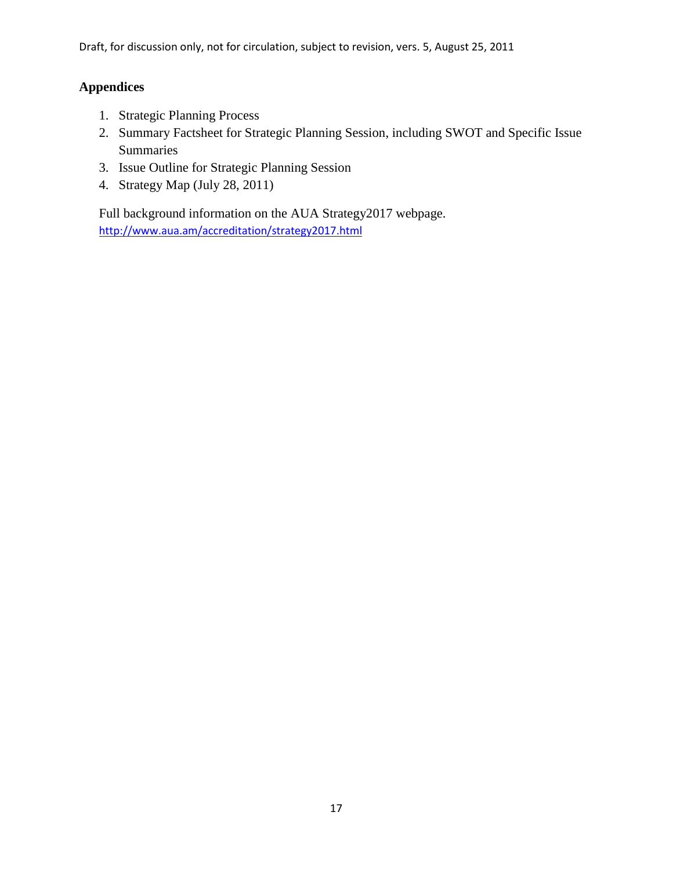# **Appendices**

- 1. Strategic Planning Process
- 2. Summary Factsheet for Strategic Planning Session, including SWOT and Specific Issue Summaries
- 3. Issue Outline for Strategic Planning Session
- 4. Strategy Map (July 28, 2011)

Full background information on the AUA Strategy2017 webpage. <http://www.aua.am/accreditation/strategy2017.html>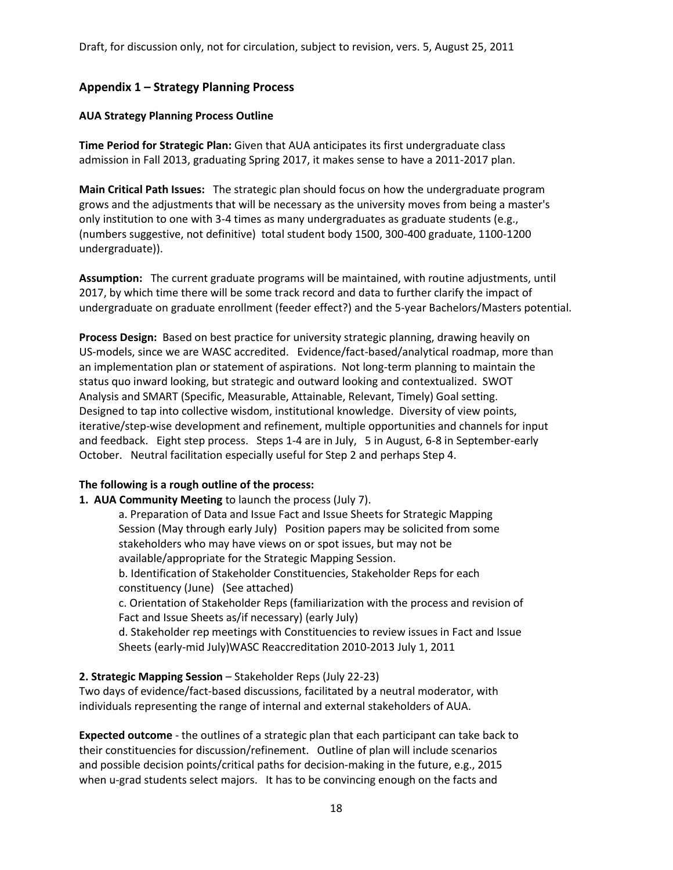# **Appendix 1 – Strategy Planning Process**

#### **AUA Strategy Planning Process Outline**

**Time Period for Strategic Plan:** Given that AUA anticipates its first undergraduate class admission in Fall 2013, graduating Spring 2017, it makes sense to have a 2011-2017 plan.

**Main Critical Path Issues:** The strategic plan should focus on how the undergraduate program grows and the adjustments that will be necessary as the university moves from being a master's only institution to one with 3-4 times as many undergraduates as graduate students (e.g., (numbers suggestive, not definitive) total student body 1500, 300-400 graduate, 1100-1200 undergraduate)).

**Assumption:** The current graduate programs will be maintained, with routine adjustments, until 2017, by which time there will be some track record and data to further clarify the impact of undergraduate on graduate enrollment (feeder effect?) and the 5-year Bachelors/Masters potential.

**Process Design:** Based on best practice for university strategic planning, drawing heavily on US-models, since we are WASC accredited. Evidence/fact-based/analytical roadmap, more than an implementation plan or statement of aspirations. Not long-term planning to maintain the status quo inward looking, but strategic and outward looking and contextualized. SWOT Analysis and SMART (Specific, Measurable, Attainable, Relevant, Timely) Goal setting. Designed to tap into collective wisdom, institutional knowledge. Diversity of view points, iterative/step-wise development and refinement, multiple opportunities and channels for input and feedback. Eight step process. Steps 1-4 are in July, 5 in August, 6-8 in September-early October. Neutral facilitation especially useful for Step 2 and perhaps Step 4.

#### **The following is a rough outline of the process:**

**1. AUA Community Meeting** to launch the process (July 7).

a. Preparation of Data and Issue Fact and Issue Sheets for Strategic Mapping Session (May through early July) Position papers may be solicited from some stakeholders who may have views on or spot issues, but may not be available/appropriate for the Strategic Mapping Session.

b. Identification of Stakeholder Constituencies, Stakeholder Reps for each constituency (June) (See attached)

c. Orientation of Stakeholder Reps (familiarization with the process and revision of Fact and Issue Sheets as/if necessary) (early July)

d. Stakeholder rep meetings with Constituencies to review issues in Fact and Issue Sheets (early-mid July)WASC Reaccreditation 2010-2013 July 1, 2011

#### **2. Strategic Mapping Session** – Stakeholder Reps (July 22-23)

Two days of evidence/fact-based discussions, facilitated by a neutral moderator, with individuals representing the range of internal and external stakeholders of AUA.

**Expected outcome** - the outlines of a strategic plan that each participant can take back to their constituencies for discussion/refinement. Outline of plan will include scenarios and possible decision points/critical paths for decision-making in the future, e.g., 2015 when u-grad students select majors. It has to be convincing enough on the facts and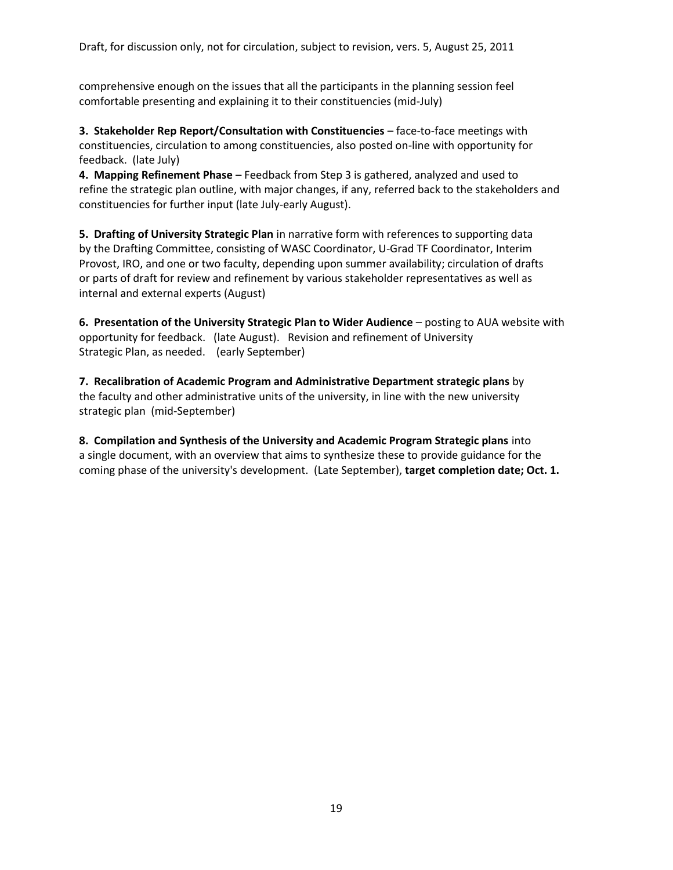comprehensive enough on the issues that all the participants in the planning session feel comfortable presenting and explaining it to their constituencies (mid-July)

**3. Stakeholder Rep Report/Consultation with Constituencies** – face-to-face meetings with constituencies, circulation to among constituencies, also posted on-line with opportunity for feedback. (late July)

**4. Mapping Refinement Phase** – Feedback from Step 3 is gathered, analyzed and used to refine the strategic plan outline, with major changes, if any, referred back to the stakeholders and constituencies for further input (late July-early August).

**5. Drafting of University Strategic Plan** in narrative form with references to supporting data by the Drafting Committee, consisting of WASC Coordinator, U-Grad TF Coordinator, Interim Provost, IRO, and one or two faculty, depending upon summer availability; circulation of drafts or parts of draft for review and refinement by various stakeholder representatives as well as internal and external experts (August)

**6. Presentation of the University Strategic Plan to Wider Audience** – posting to AUA website with opportunity for feedback. (late August). Revision and refinement of University Strategic Plan, as needed. (early September)

**7. Recalibration of Academic Program and Administrative Department strategic plans** by the faculty and other administrative units of the university, in line with the new university strategic plan (mid-September)

**8. Compilation and Synthesis of the University and Academic Program Strategic plans** into a single document, with an overview that aims to synthesize these to provide guidance for the coming phase of the university's development. (Late September), **target completion date; Oct. 1.**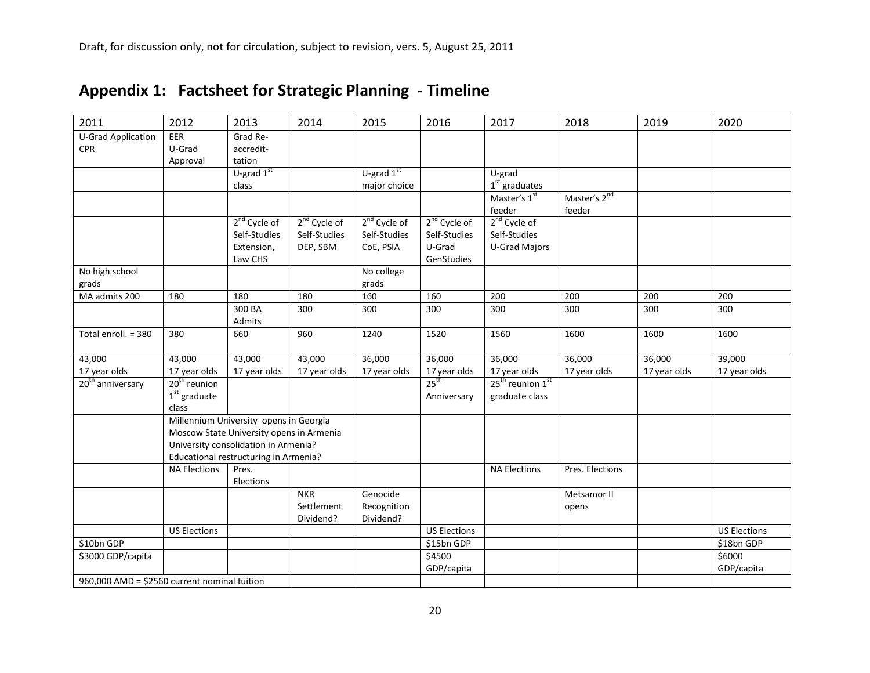| 2011                                         | 2012                                     | 2013                                   | 2014                     | 2015           | 2016                     | 2017                         | 2018                     | 2019         | 2020                |
|----------------------------------------------|------------------------------------------|----------------------------------------|--------------------------|----------------|--------------------------|------------------------------|--------------------------|--------------|---------------------|
| <b>U-Grad Application</b>                    | EER                                      | Grad Re-                               |                          |                |                          |                              |                          |              |                     |
| <b>CPR</b>                                   | U-Grad                                   | accredit-                              |                          |                |                          |                              |                          |              |                     |
|                                              | Approval                                 | tation                                 |                          |                |                          |                              |                          |              |                     |
|                                              |                                          | U-grad $1st$                           |                          | U-grad $1st$   |                          | U-grad                       |                          |              |                     |
|                                              |                                          | class                                  |                          | major choice   |                          | $1st$ graduates              |                          |              |                     |
|                                              |                                          |                                        |                          |                |                          | Master's 1st                 | Master's 2 <sup>nd</sup> |              |                     |
|                                              |                                          |                                        |                          |                |                          | feeder                       | feeder                   |              |                     |
|                                              |                                          | 2 <sup>nd</sup> Cycle of               | 2 <sup>nd</sup> Cycle of | $2nd$ Cycle of | 2 <sup>nd</sup> Cycle of | 2 <sup>nd</sup> Cycle of     |                          |              |                     |
|                                              |                                          | Self-Studies                           | Self-Studies             | Self-Studies   | Self-Studies             | Self-Studies                 |                          |              |                     |
|                                              |                                          | Extension,                             | DEP, SBM                 | CoE, PSIA      | U-Grad                   | <b>U-Grad Majors</b>         |                          |              |                     |
|                                              |                                          | Law CHS                                |                          |                | GenStudies               |                              |                          |              |                     |
| No high school                               |                                          |                                        |                          | No college     |                          |                              |                          |              |                     |
| grads                                        |                                          |                                        |                          | grads          |                          |                              |                          |              |                     |
| MA admits 200                                | 180                                      | 180                                    | 180                      | 160            | 160                      | 200                          | 200                      | 200          | 200                 |
|                                              |                                          | 300 BA                                 | 300                      | 300            | 300                      | 300                          | 300                      | 300          | 300                 |
|                                              |                                          | Admits                                 |                          |                |                          |                              |                          |              |                     |
| Total enroll. = 380                          | 380                                      | 660                                    | 960                      | 1240           | 1520                     | 1560                         | 1600                     | 1600         | 1600                |
| 43,000                                       | 43,000                                   | 43,000                                 | 43,000                   | 36,000         | 36,000                   | 36,000                       | 36,000                   | 36,000       | 39,000              |
| 17 year olds                                 | 17 year olds                             | 17 year olds                           | 17 year olds             | 17 year olds   | 17 year olds             | 17 year olds                 | 17 year olds             | 17 year olds | 17 year olds        |
| 20 <sup>th</sup> anniversary                 | $20th$ reunion                           |                                        |                          |                | 25 <sup>th</sup>         | 25 <sup>th</sup> reunion 1st |                          |              |                     |
|                                              | $1st$ graduate                           |                                        |                          |                | Anniversary              | graduate class               |                          |              |                     |
|                                              | class                                    |                                        |                          |                |                          |                              |                          |              |                     |
|                                              |                                          | Millennium University opens in Georgia |                          |                |                          |                              |                          |              |                     |
|                                              | Moscow State University opens in Armenia |                                        |                          |                |                          |                              |                          |              |                     |
|                                              | University consolidation in Armenia?     |                                        |                          |                |                          |                              |                          |              |                     |
|                                              |                                          | Educational restructuring in Armenia?  |                          |                |                          |                              |                          |              |                     |
|                                              | <b>NA Elections</b>                      | Pres.                                  |                          |                |                          | <b>NA Elections</b>          | Pres. Elections          |              |                     |
|                                              |                                          | Elections                              |                          |                |                          |                              |                          |              |                     |
|                                              |                                          |                                        | <b>NKR</b>               | Genocide       |                          |                              | Metsamor II              |              |                     |
|                                              |                                          |                                        | Settlement               | Recognition    |                          |                              | opens                    |              |                     |
|                                              |                                          |                                        | Dividend?                | Dividend?      |                          |                              |                          |              |                     |
|                                              | <b>US Elections</b>                      |                                        |                          |                | <b>US Elections</b>      |                              |                          |              | <b>US Elections</b> |
| \$10bn GDP                                   |                                          |                                        |                          |                | \$15bn GDP               |                              |                          |              | \$18bn GDP          |
| \$3000 GDP/capita                            |                                          |                                        |                          |                | \$4500                   |                              |                          |              | \$6000              |
|                                              |                                          |                                        |                          |                | GDP/capita               |                              |                          |              | GDP/capita          |
| 960,000 AMD = \$2560 current nominal tuition |                                          |                                        |                          |                |                          |                              |                          |              |                     |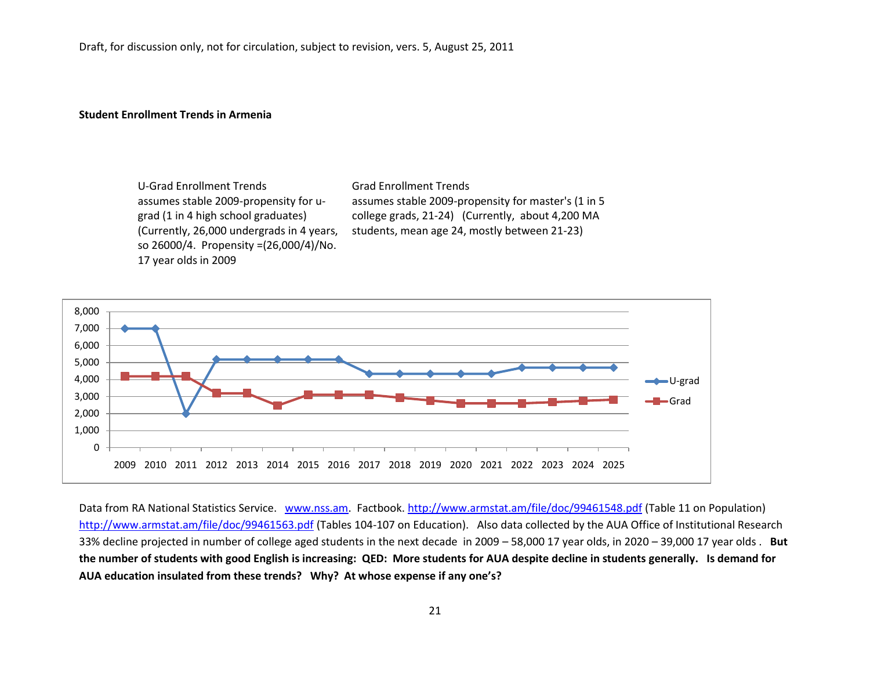#### **Student Enrollment Trends in Armenia**

U-Grad Enrollment Trends Grad Enrollment Trends assumes stable 2009-propensity for ugrad (1 in 4 high school graduates) (Currently, 26,000 undergrads in 4 years, so 26000/4. Propensity =(26,000/4)/No. 17 year olds in 2009

assumes stable 2009-propensity for master's (1 in 5 college grads, 21-24) (Currently, about 4,200 MA students, mean age 24, mostly between 21-23)



Data from RA National Statistics Service. [www.nss.am.](http://www.nss.am/) Factbook.<http://www.armstat.am/file/doc/99461548.pdf> (Table 11 on Population) <http://www.armstat.am/file/doc/99461563.pdf> (Tables 104-107 on Education). Also data collected by the AUA Office of Institutional Research 33% decline projected in number of college aged students in the next decade in 2009 – 58,000 17 year olds, in 2020 – 39,000 17 year olds . **But the number of students with good English is increasing: QED: More students for AUA despite decline in students generally. Is demand for AUA education insulated from these trends? Why? At whose expense if any one's?**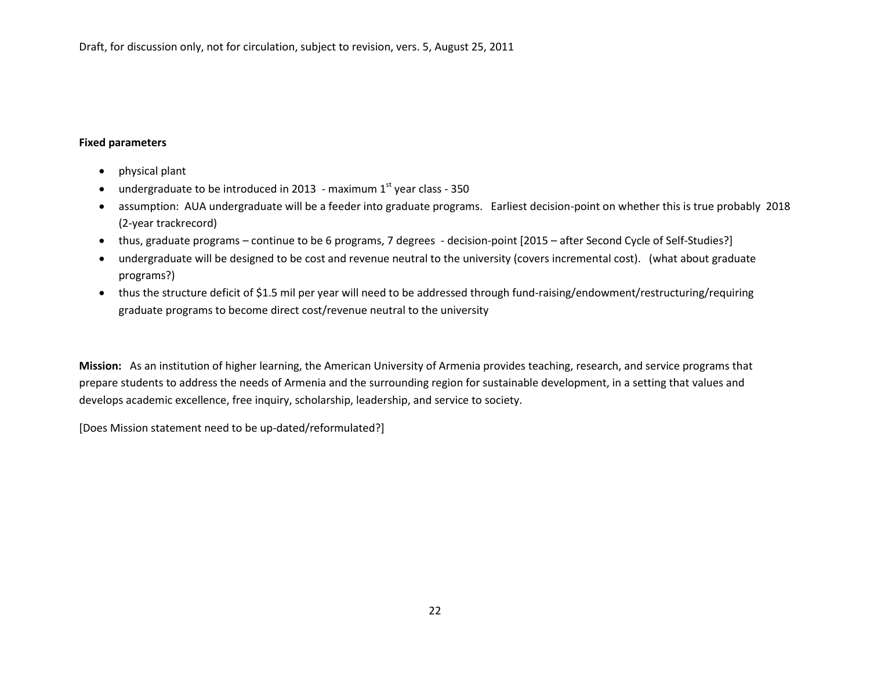#### **Fixed parameters**

- physical plant
- undergraduate to be introduced in 2013 maximum  $1<sup>st</sup>$  year class 350
- assumption: AUA undergraduate will be a feeder into graduate programs. Earliest decision-point on whether this is true probably 2018 (2-year trackrecord)
- thus, graduate programs continue to be 6 programs, 7 degrees decision-point [2015 after Second Cycle of Self-Studies?]
- undergraduate will be designed to be cost and revenue neutral to the university (covers incremental cost). (what about graduate programs?)
- thus the structure deficit of \$1.5 mil per year will need to be addressed through fund-raising/endowment/restructuring/requiring graduate programs to become direct cost/revenue neutral to the university

**Mission:** As an institution of higher learning, the American University of Armenia provides teaching, research, and service programs that prepare students to address the needs of Armenia and the surrounding region for sustainable development, in a setting that values and develops academic excellence, free inquiry, scholarship, leadership, and service to society.

[Does Mission statement need to be up-dated/reformulated?]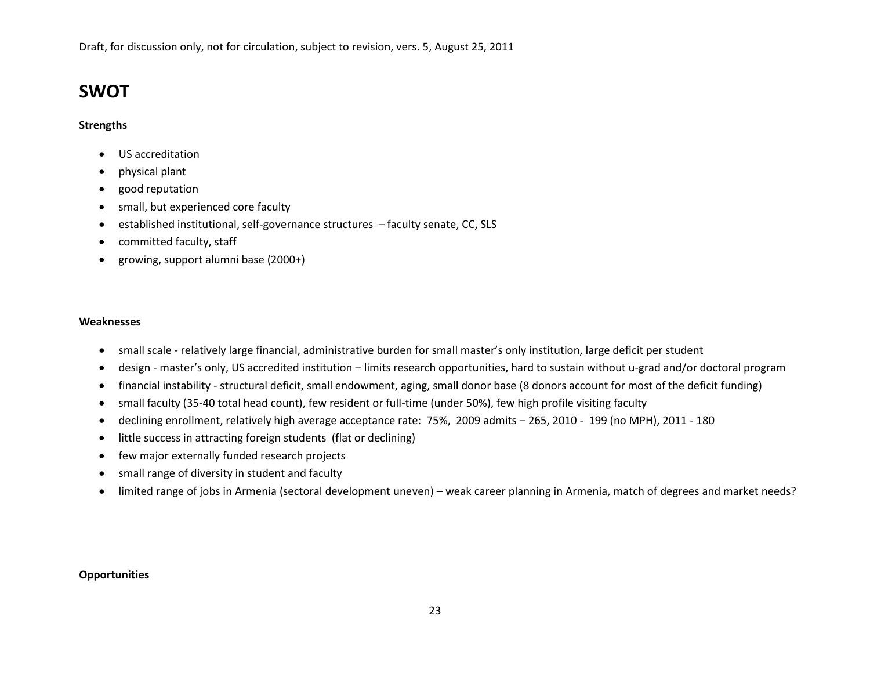# **SWOT**

#### **Strengths**

- US accreditation
- physical plant
- good reputation
- small, but experienced core faculty
- established institutional, self-governance structures faculty senate, CC, SLS
- committed faculty, staff
- growing, support alumni base (2000+)

#### **Weaknesses**

- small scale relatively large financial, administrative burden for small master's only institution, large deficit per student
- design master's only, US accredited institution limits research opportunities, hard to sustain without u-grad and/or doctoral program
- financial instability structural deficit, small endowment, aging, small donor base (8 donors account for most of the deficit funding)
- small faculty (35-40 total head count), few resident or full-time (under 50%), few high profile visiting faculty
- declining enrollment, relatively high average acceptance rate: 75%, 2009 admits 265, 2010 199 (no MPH), 2011 180
- little success in attracting foreign students (flat or declining)
- few major externally funded research projects
- small range of diversity in student and faculty
- limited range of jobs in Armenia (sectoral development uneven) weak career planning in Armenia, match of degrees and market needs?

#### **Opportunities**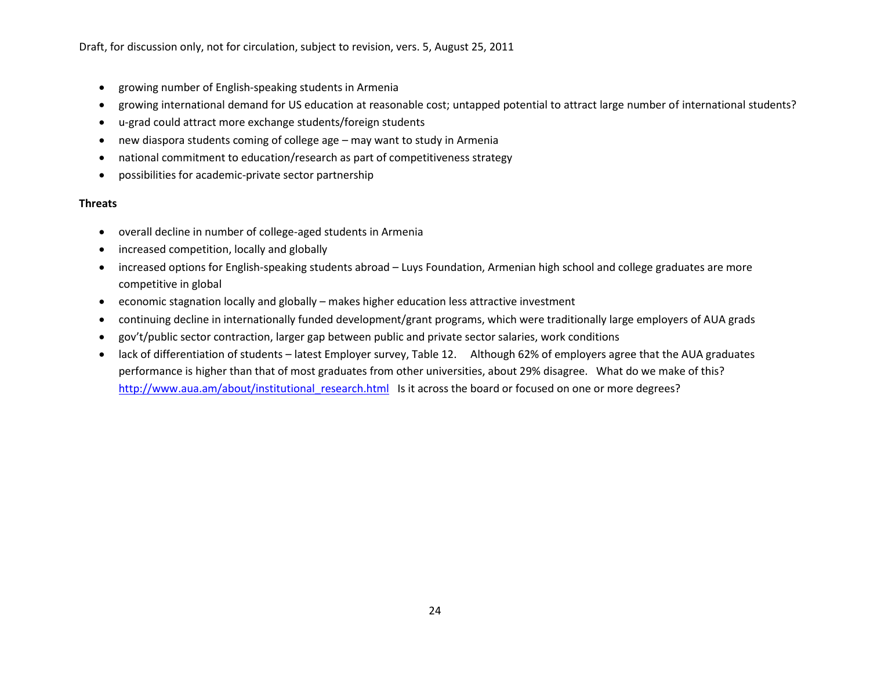- growing number of English-speaking students in Armenia
- growing international demand for US education at reasonable cost; untapped potential to attract large number of international students?
- u-grad could attract more exchange students/foreign students
- new diaspora students coming of college age may want to study in Armenia
- national commitment to education/research as part of competitiveness strategy
- possibilities for academic-private sector partnership

## **Threats**

- overall decline in number of college-aged students in Armenia
- increased competition, locally and globally
- increased options for English-speaking students abroad Luys Foundation, Armenian high school and college graduates are more competitive in global
- economic stagnation locally and globally makes higher education less attractive investment
- continuing decline in internationally funded development/grant programs, which were traditionally large employers of AUA grads
- gov't/public sector contraction, larger gap between public and private sector salaries, work conditions
- lack of differentiation of students latest Employer survey, Table 12. Although 62% of employers agree that the AUA graduates performance is higher than that of most graduates from other universities, about 29% disagree. What do we make of this? http://www.aua.am/about/institutional research.html Is it across the board or focused on one or more degrees?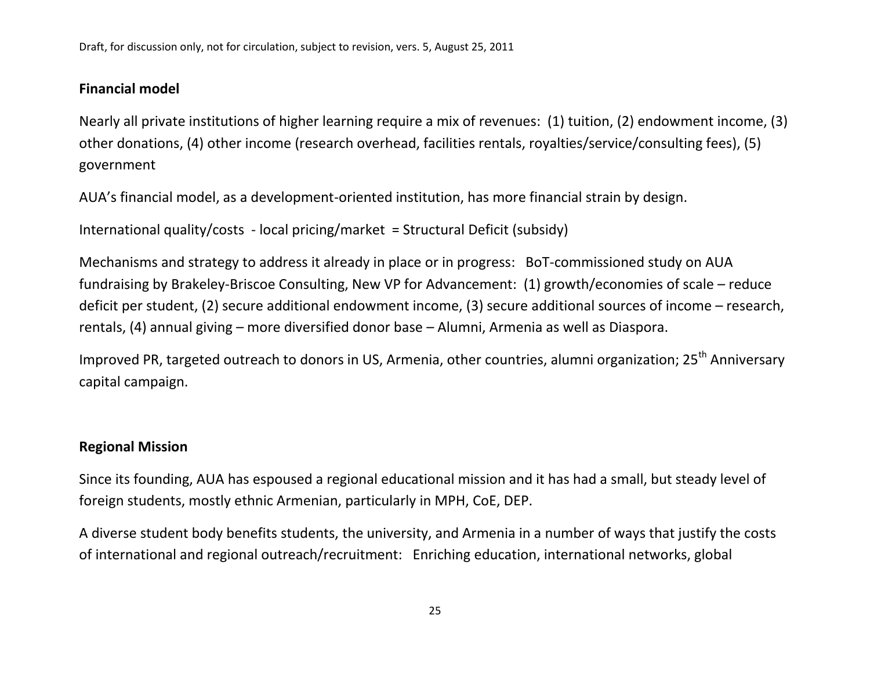# **Financial model**

Nearly all private institutions of higher learning require a mix of revenues: (1) tuition, (2) endowment income, (3) other donations, (4) other income (research overhead, facilities rentals, royalties/service/consulting fees), (5) government

AUA's financial model, as a development-oriented institution, has more financial strain by design.

International quality/costs - local pricing/market = Structural Deficit (subsidy)

Mechanisms and strategy to address it already in place or in progress: BoT-commissioned study on AUA fundraising by Brakeley-Briscoe Consulting, New VP for Advancement: (1) growth/economies of scale – reduce deficit per student, (2) secure additional endowment income, (3) secure additional sources of income – research, rentals, (4) annual giving – more diversified donor base – Alumni, Armenia as well as Diaspora.

Improved PR, targeted outreach to donors in US, Armenia, other countries, alumni organization; 25<sup>th</sup> Anniversary capital campaign.

# **Regional Mission**

Since its founding, AUA has espoused a regional educational mission and it has had a small, but steady level of foreign students, mostly ethnic Armenian, particularly in MPH, CoE, DEP.

A diverse student body benefits students, the university, and Armenia in a number of ways that justify the costs of international and regional outreach/recruitment: Enriching education, international networks, global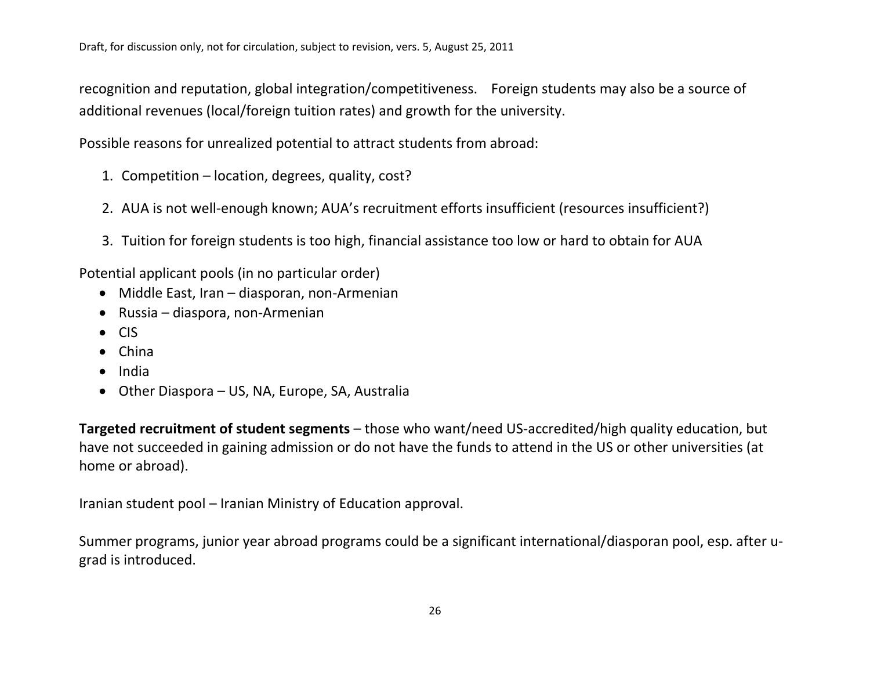recognition and reputation, global integration/competitiveness. Foreign students may also be a source of additional revenues (local/foreign tuition rates) and growth for the university.

Possible reasons for unrealized potential to attract students from abroad:

- 1. Competition location, degrees, quality, cost?
- 2. AUA is not well-enough known; AUA's recruitment efforts insufficient (resources insufficient?)
- 3. Tuition for foreign students is too high, financial assistance too low or hard to obtain for AUA

Potential applicant pools (in no particular order)

- Middle East, Iran diasporan, non-Armenian
- Russia diaspora, non-Armenian
- CIS
- China
- India
- Other Diaspora US, NA, Europe, SA, Australia

**Targeted recruitment of student segments** – those who want/need US-accredited/high quality education, but have not succeeded in gaining admission or do not have the funds to attend in the US or other universities (at home or abroad).

Iranian student pool – Iranian Ministry of Education approval.

Summer programs, junior year abroad programs could be a significant international/diasporan pool, esp. after ugrad is introduced.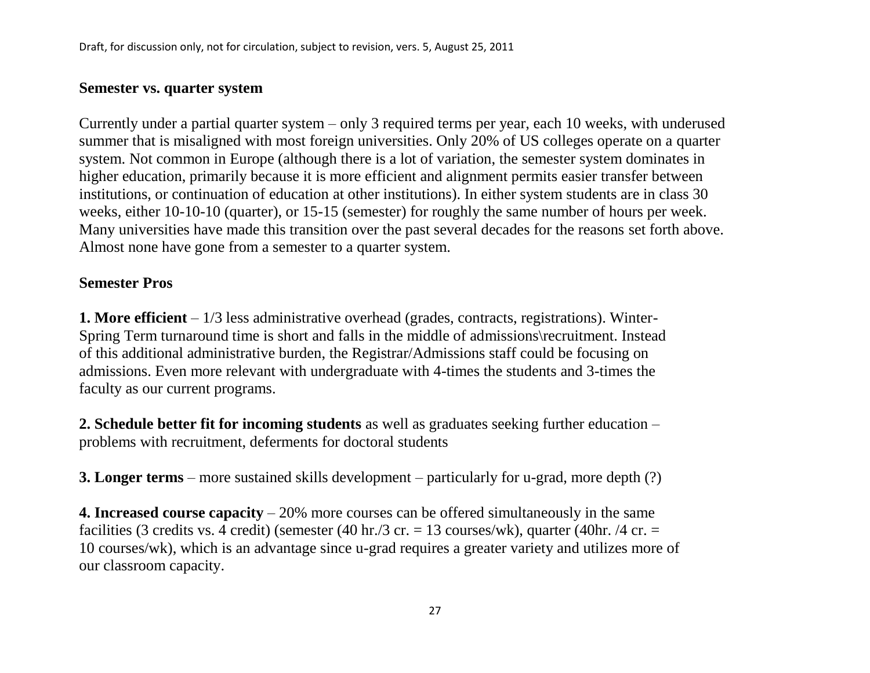# **Semester vs. quarter system**

Currently under a partial quarter system – only 3 required terms per year, each 10 weeks, with underused summer that is misaligned with most foreign universities. Only 20% of US colleges operate on a quarter system. Not common in Europe (although there is a lot of variation, the semester system dominates in higher education, primarily because it is more efficient and alignment permits easier transfer between institutions, or continuation of education at other institutions). In either system students are in class 30 weeks, either 10-10-10 (quarter), or 15-15 (semester) for roughly the same number of hours per week. Many universities have made this transition over the past several decades for the reasons set forth above. Almost none have gone from a semester to a quarter system.

# **Semester Pros**

**1. More efficient** – 1/3 less administrative overhead (grades, contracts, registrations). Winter-Spring Term turnaround time is short and falls in the middle of admissions\recruitment. Instead of this additional administrative burden, the Registrar/Admissions staff could be focusing on admissions. Even more relevant with undergraduate with 4-times the students and 3-times the faculty as our current programs.

**2. Schedule better fit for incoming students** as well as graduates seeking further education – problems with recruitment, deferments for doctoral students

**3. Longer terms** – more sustained skills development – particularly for u-grad, more depth (?)

**4. Increased course capacity** – 20% more courses can be offered simultaneously in the same facilities (3 credits vs. 4 credit) (semester (40 hr./3 cr. = 13 courses/wk), quarter (40 hr. /4 cr. = 10 courses/wk), which is an advantage since u-grad requires a greater variety and utilizes more of our classroom capacity.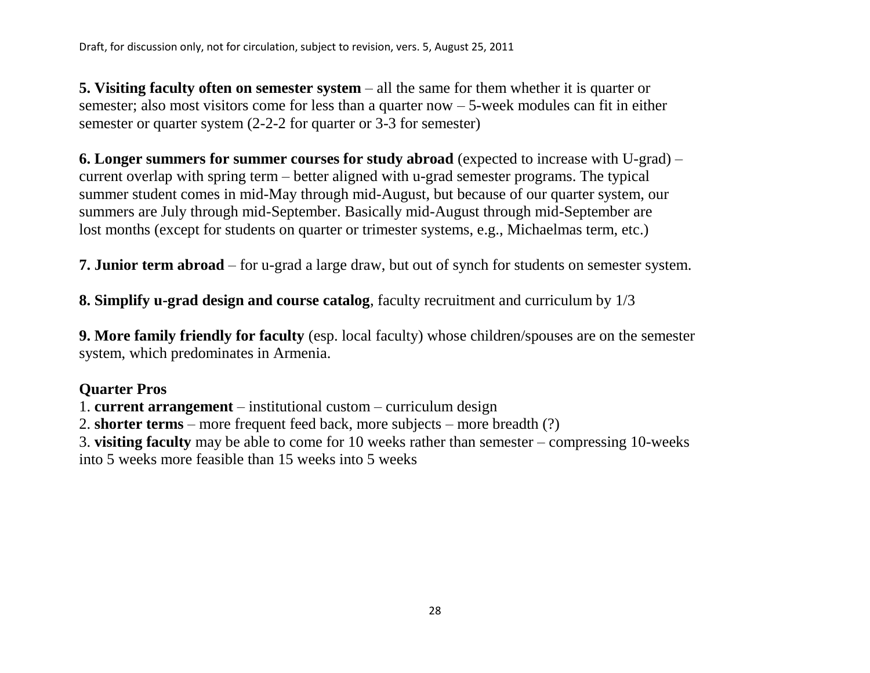**5. Visiting faculty often on semester system** – all the same for them whether it is quarter or semester; also most visitors come for less than a quarter now – 5-week modules can fit in either semester or quarter system (2-2-2 for quarter or 3-3 for semester)

**6. Longer summers for summer courses for study abroad** (expected to increase with U-grad) – current overlap with spring term – better aligned with u-grad semester programs. The typical summer student comes in mid-May through mid-August, but because of our quarter system, our summers are July through mid-September. Basically mid-August through mid-September are lost months (except for students on quarter or trimester systems, e.g., Michaelmas term, etc.)

**7. Junior term abroad** – for u-grad a large draw, but out of synch for students on semester system.

**8. Simplify u-grad design and course catalog**, faculty recruitment and curriculum by 1/3

**9. More family friendly for faculty** (esp. local faculty) whose children/spouses are on the semester system, which predominates in Armenia.

# **Quarter Pros**

1. **current arrangement** – institutional custom – curriculum design

2. **shorter terms** – more frequent feed back, more subjects – more breadth (?)

3. **visiting faculty** may be able to come for 10 weeks rather than semester – compressing 10-weeks

into 5 weeks more feasible than 15 weeks into 5 weeks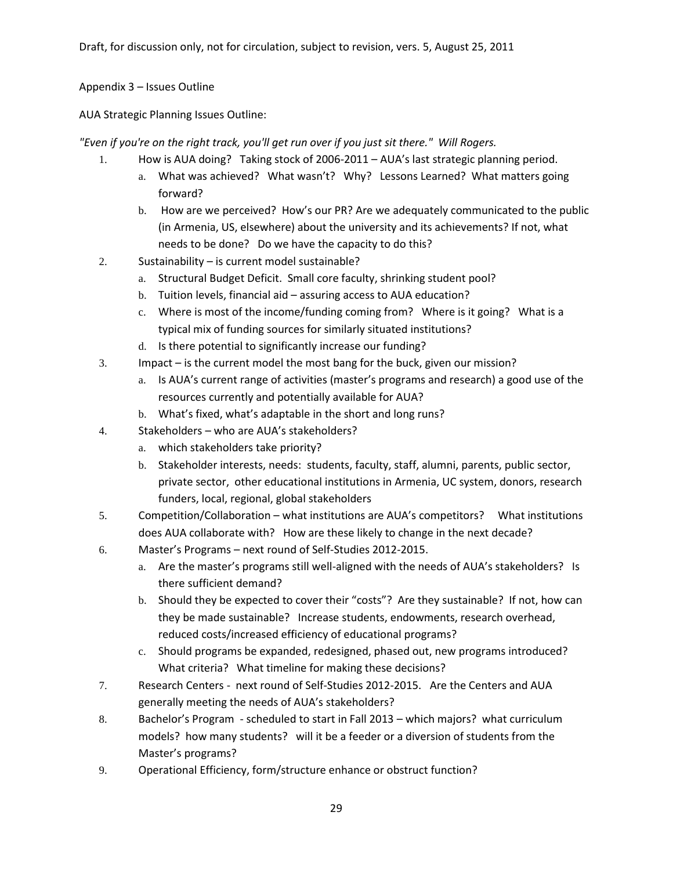## Appendix 3 – Issues Outline

AUA Strategic Planning Issues Outline:

*"Even if you're on the right track, you'll get run over if you just sit there." Will Rogers.*

- 1. How is AUA doing? Taking stock of 2006-2011 AUA's last strategic planning period.
	- a. What was achieved? What wasn't? Why? Lessons Learned? What matters going forward?
	- b. How are we perceived? How's our PR? Are we adequately communicated to the public (in Armenia, US, elsewhere) about the university and its achievements? If not, what needs to be done? Do we have the capacity to do this?
- 2. Sustainability is current model sustainable?
	- a. Structural Budget Deficit. Small core faculty, shrinking student pool?
	- b. Tuition levels, financial aid assuring access to AUA education?
	- c. Where is most of the income/funding coming from? Where is it going? What is a typical mix of funding sources for similarly situated institutions?
	- d. Is there potential to significantly increase our funding?
- 3. Impact is the current model the most bang for the buck, given our mission?
	- a. Is AUA's current range of activities (master's programs and research) a good use of the resources currently and potentially available for AUA?
	- b. What's fixed, what's adaptable in the short and long runs?
- 4. Stakeholders who are AUA's stakeholders?
	- a. which stakeholders take priority?
	- b. Stakeholder interests, needs: students, faculty, staff, alumni, parents, public sector, private sector, other educational institutions in Armenia, UC system, donors, research funders, local, regional, global stakeholders
- 5. Competition/Collaboration what institutions are AUA's competitors? What institutions does AUA collaborate with? How are these likely to change in the next decade?
- 6. Master's Programs next round of Self-Studies 2012-2015.
	- a. Are the master's programs still well-aligned with the needs of AUA's stakeholders? Is there sufficient demand?
	- b. Should they be expected to cover their "costs"? Are they sustainable? If not, how can they be made sustainable? Increase students, endowments, research overhead, reduced costs/increased efficiency of educational programs?
	- c. Should programs be expanded, redesigned, phased out, new programs introduced? What criteria? What timeline for making these decisions?
- 7. Research Centers next round of Self-Studies 2012-2015. Are the Centers and AUA generally meeting the needs of AUA's stakeholders?
- 8. Bachelor's Program scheduled to start in Fall 2013 which majors? what curriculum models? how many students? will it be a feeder or a diversion of students from the Master's programs?
- 9. Operational Efficiency, form/structure enhance or obstruct function?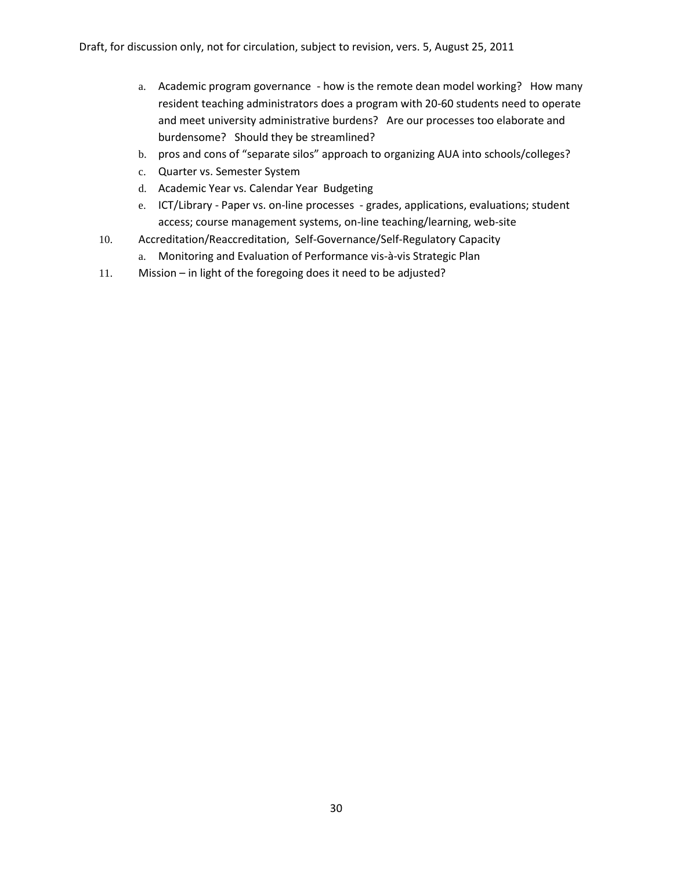- a. Academic program governance how is the remote dean model working? How many resident teaching administrators does a program with 20-60 students need to operate and meet university administrative burdens? Are our processes too elaborate and burdensome? Should they be streamlined?
- b. pros and cons of "separate silos" approach to organizing AUA into schools/colleges?
- c. Quarter vs. Semester System
- d. Academic Year vs. Calendar Year Budgeting
- e. ICT/Library Paper vs. on-line processes grades, applications, evaluations; student access; course management systems, on-line teaching/learning, web-site
- 10. Accreditation/Reaccreditation, Self-Governance/Self-Regulatory Capacity
	- a. Monitoring and Evaluation of Performance vis-à-vis Strategic Plan
- 11. Mission in light of the foregoing does it need to be adjusted?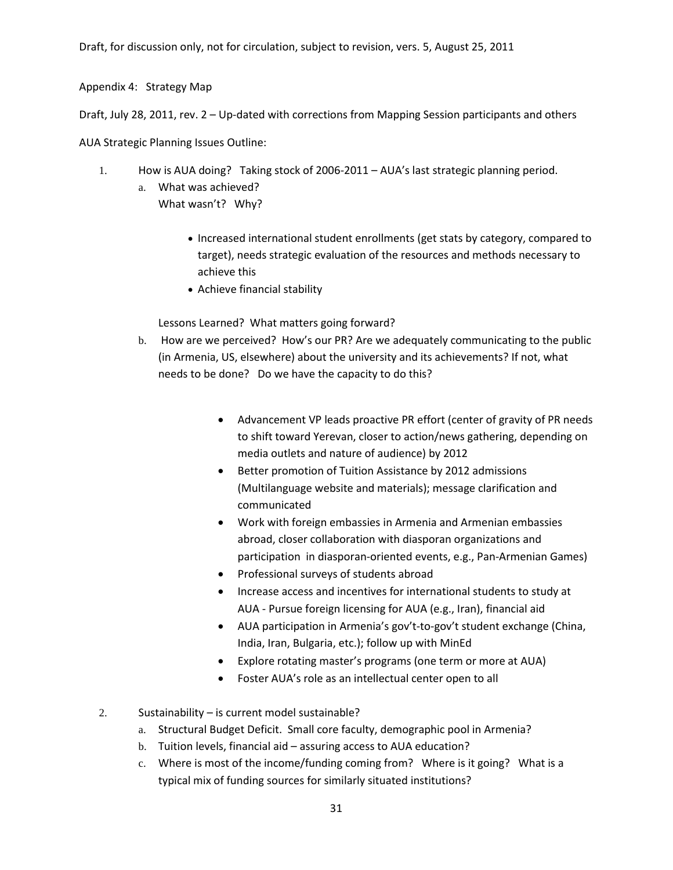Appendix 4: Strategy Map

Draft, July 28, 2011, rev. 2 – Up-dated with corrections from Mapping Session participants and others

AUA Strategic Planning Issues Outline:

- 1. How is AUA doing? Taking stock of 2006-2011 AUA's last strategic planning period.
	- a. What was achieved? What wasn't? Why?
		- Increased international student enrollments (get stats by category, compared to target), needs strategic evaluation of the resources and methods necessary to achieve this
		- Achieve financial stability

Lessons Learned? What matters going forward?

- b. How are we perceived? How's our PR? Are we adequately communicating to the public (in Armenia, US, elsewhere) about the university and its achievements? If not, what needs to be done? Do we have the capacity to do this?
	- Advancement VP leads proactive PR effort (center of gravity of PR needs to shift toward Yerevan, closer to action/news gathering, depending on media outlets and nature of audience) by 2012
	- Better promotion of Tuition Assistance by 2012 admissions (Multilanguage website and materials); message clarification and communicated
	- Work with foreign embassies in Armenia and Armenian embassies abroad, closer collaboration with diasporan organizations and participation in diasporan-oriented events, e.g., Pan-Armenian Games)
	- Professional surveys of students abroad
	- Increase access and incentives for international students to study at AUA - Pursue foreign licensing for AUA (e.g., Iran), financial aid
	- AUA participation in Armenia's gov't-to-gov't student exchange (China, India, Iran, Bulgaria, etc.); follow up with MinEd
	- Explore rotating master's programs (one term or more at AUA)
	- Foster AUA's role as an intellectual center open to all

2. Sustainability – is current model sustainable?

- a. Structural Budget Deficit. Small core faculty, demographic pool in Armenia?
- b. Tuition levels, financial aid assuring access to AUA education?
- c. Where is most of the income/funding coming from? Where is it going? What is a typical mix of funding sources for similarly situated institutions?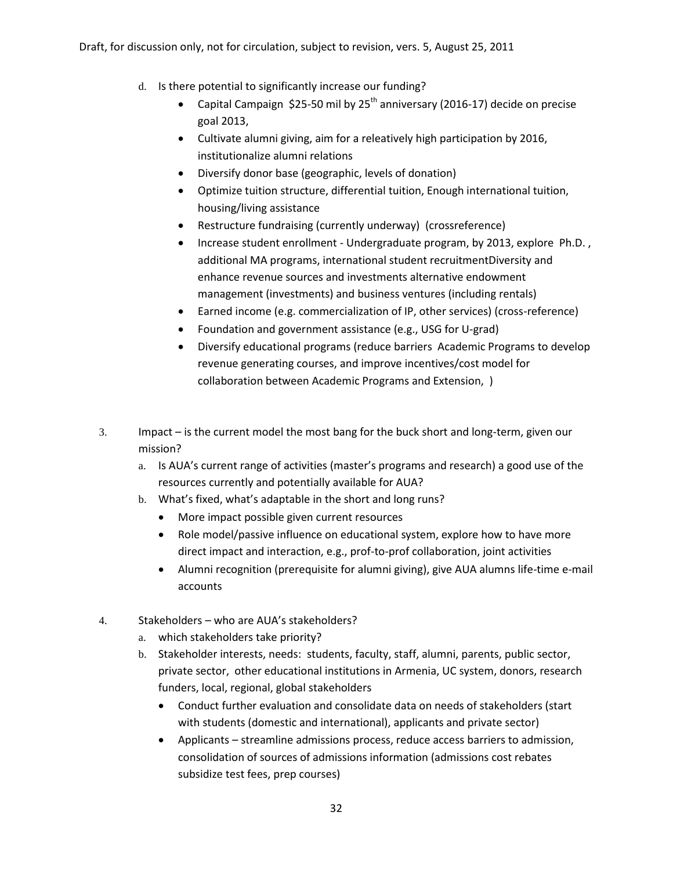- d. Is there potential to significantly increase our funding?
	- Capital Campaign \$25-50 mil by  $25<sup>th</sup>$  anniversary (2016-17) decide on precise goal 2013,
	- Cultivate alumni giving, aim for a releatively high participation by 2016, institutionalize alumni relations
	- Diversify donor base (geographic, levels of donation)
	- Optimize tuition structure, differential tuition, Enough international tuition, housing/living assistance
	- Restructure fundraising (currently underway) (crossreference)
	- Increase student enrollment Undergraduate program, by 2013, explore Ph.D. , additional MA programs, international student recruitmentDiversity and enhance revenue sources and investments alternative endowment management (investments) and business ventures (including rentals)
	- Earned income (e.g. commercialization of IP, other services) (cross-reference)
	- Foundation and government assistance (e.g., USG for U-grad)
	- Diversify educational programs (reduce barriers Academic Programs to develop revenue generating courses, and improve incentives/cost model for collaboration between Academic Programs and Extension, )
- 3. Impact is the current model the most bang for the buck short and long-term, given our mission?
	- a. Is AUA's current range of activities (master's programs and research) a good use of the resources currently and potentially available for AUA?
	- b. What's fixed, what's adaptable in the short and long runs?
		- More impact possible given current resources
		- Role model/passive influence on educational system, explore how to have more direct impact and interaction, e.g., prof-to-prof collaboration, joint activities
		- Alumni recognition (prerequisite for alumni giving), give AUA alumns life-time e-mail accounts
- 4. Stakeholders who are AUA's stakeholders?
	- a. which stakeholders take priority?
	- b. Stakeholder interests, needs: students, faculty, staff, alumni, parents, public sector, private sector, other educational institutions in Armenia, UC system, donors, research funders, local, regional, global stakeholders
		- Conduct further evaluation and consolidate data on needs of stakeholders (start with students (domestic and international), applicants and private sector)
		- Applicants streamline admissions process, reduce access barriers to admission, consolidation of sources of admissions information (admissions cost rebates subsidize test fees, prep courses)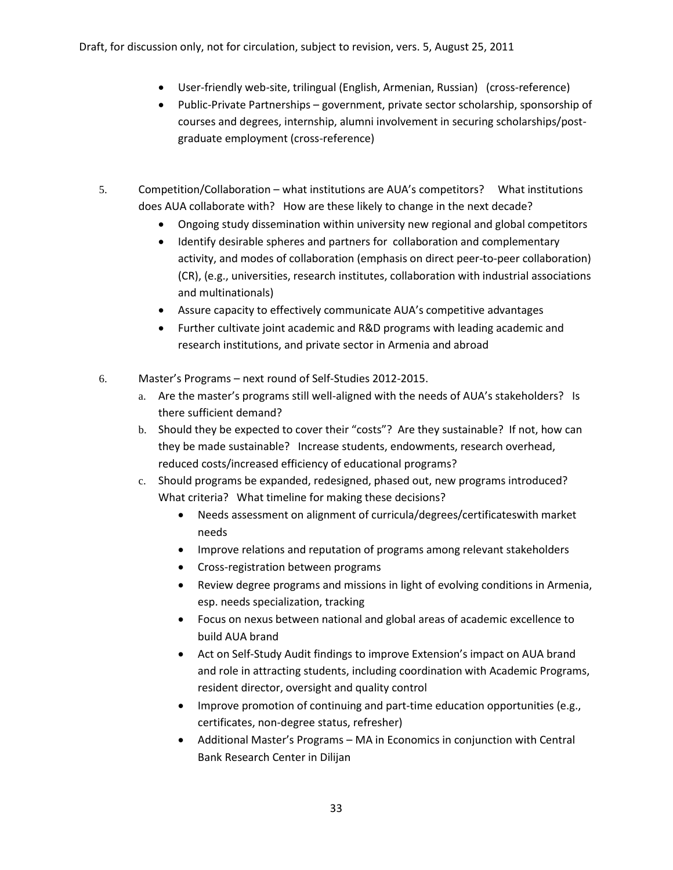- User-friendly web-site, trilingual (English, Armenian, Russian) (cross-reference)
- Public-Private Partnerships government, private sector scholarship, sponsorship of courses and degrees, internship, alumni involvement in securing scholarships/postgraduate employment (cross-reference)
- 5. Competition/Collaboration what institutions are AUA's competitors? What institutions does AUA collaborate with? How are these likely to change in the next decade?
	- Ongoing study dissemination within university new regional and global competitors
	- Identify desirable spheres and partners for collaboration and complementary activity, and modes of collaboration (emphasis on direct peer-to-peer collaboration) (CR), (e.g., universities, research institutes, collaboration with industrial associations and multinationals)
	- Assure capacity to effectively communicate AUA's competitive advantages
	- Further cultivate joint academic and R&D programs with leading academic and research institutions, and private sector in Armenia and abroad
- 6. Master's Programs next round of Self-Studies 2012-2015.
	- a. Are the master's programs still well-aligned with the needs of AUA's stakeholders? Is there sufficient demand?
	- b. Should they be expected to cover their "costs"? Are they sustainable? If not, how can they be made sustainable? Increase students, endowments, research overhead, reduced costs/increased efficiency of educational programs?
	- c. Should programs be expanded, redesigned, phased out, new programs introduced? What criteria? What timeline for making these decisions?
		- Needs assessment on alignment of curricula/degrees/certificateswith market needs
		- Improve relations and reputation of programs among relevant stakeholders
		- Cross-registration between programs
		- Review degree programs and missions in light of evolving conditions in Armenia, esp. needs specialization, tracking
		- Focus on nexus between national and global areas of academic excellence to build AUA brand
		- Act on Self-Study Audit findings to improve Extension's impact on AUA brand and role in attracting students, including coordination with Academic Programs, resident director, oversight and quality control
		- Improve promotion of continuing and part-time education opportunities (e.g., certificates, non-degree status, refresher)
		- Additional Master's Programs MA in Economics in conjunction with Central Bank Research Center in Dilijan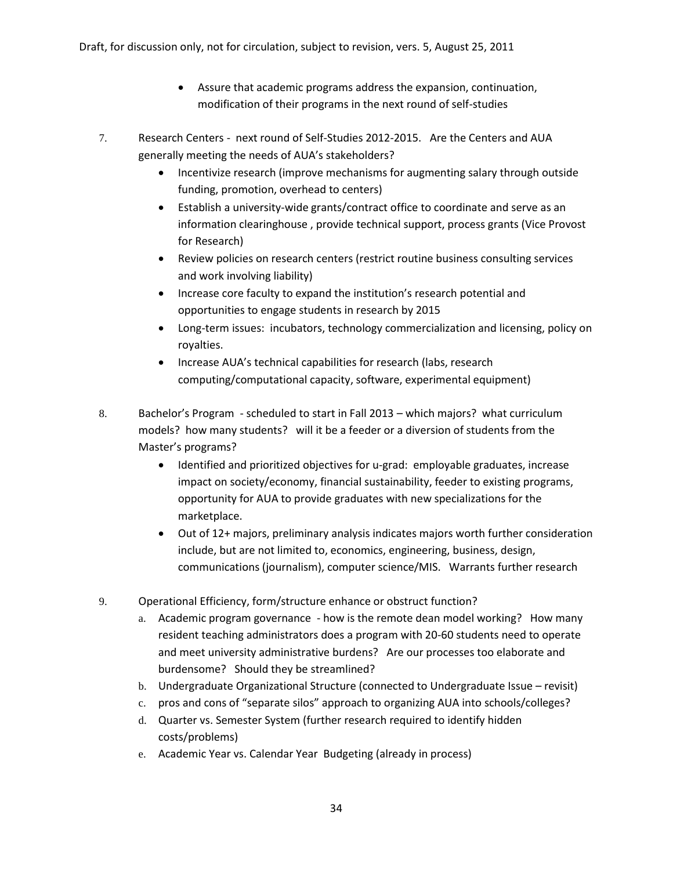- Assure that academic programs address the expansion, continuation, modification of their programs in the next round of self-studies
- 7. Research Centers next round of Self-Studies 2012-2015. Are the Centers and AUA generally meeting the needs of AUA's stakeholders?
	- Incentivize research (improve mechanisms for augmenting salary through outside funding, promotion, overhead to centers)
	- Establish a university-wide grants/contract office to coordinate and serve as an information clearinghouse , provide technical support, process grants (Vice Provost for Research)
	- Review policies on research centers (restrict routine business consulting services and work involving liability)
	- Increase core faculty to expand the institution's research potential and opportunities to engage students in research by 2015
	- Long-term issues: incubators, technology commercialization and licensing, policy on royalties.
	- Increase AUA's technical capabilities for research (labs, research computing/computational capacity, software, experimental equipment)
- 8. Bachelor's Program scheduled to start in Fall 2013 which majors? what curriculum models? how many students? will it be a feeder or a diversion of students from the Master's programs?
	- Identified and prioritized objectives for u-grad: employable graduates, increase impact on society/economy, financial sustainability, feeder to existing programs, opportunity for AUA to provide graduates with new specializations for the marketplace.
	- Out of 12+ majors, preliminary analysis indicates majors worth further consideration include, but are not limited to, economics, engineering, business, design, communications (journalism), computer science/MIS. Warrants further research
- 9. Operational Efficiency, form/structure enhance or obstruct function?
	- a. Academic program governance how is the remote dean model working? How many resident teaching administrators does a program with 20-60 students need to operate and meet university administrative burdens? Are our processes too elaborate and burdensome? Should they be streamlined?
	- b. Undergraduate Organizational Structure (connected to Undergraduate Issue revisit)
	- c. pros and cons of "separate silos" approach to organizing AUA into schools/colleges?
	- d. Quarter vs. Semester System (further research required to identify hidden costs/problems)
	- e. Academic Year vs. Calendar Year Budgeting (already in process)